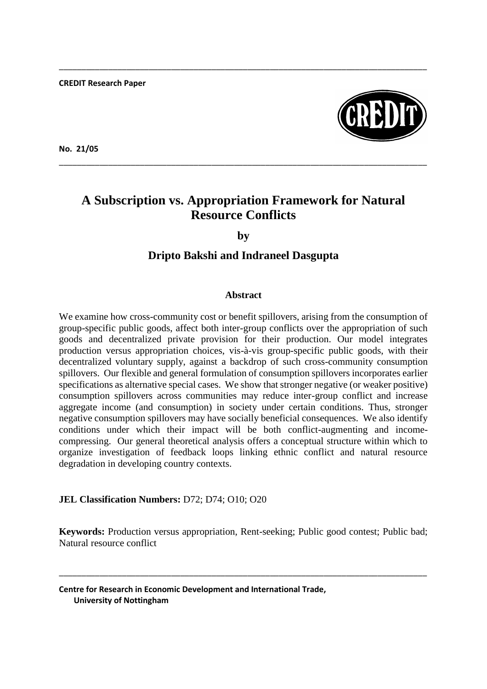**CREDIT Research Paper**



**No. 21/05**

# **A Subscription vs. Appropriation Framework for Natural Resource Conflicts**

\_\_\_\_\_\_\_\_\_\_\_\_\_\_\_\_\_\_\_\_\_\_\_\_\_\_\_\_\_\_\_\_\_\_\_\_\_\_\_\_\_\_\_\_\_\_\_\_\_\_\_\_\_\_\_\_\_\_\_\_\_\_\_\_\_\_\_\_\_\_\_\_\_\_\_\_\_\_\_\_\_\_

\_\_\_\_\_\_\_\_\_\_\_\_\_\_\_\_\_\_\_\_\_\_\_\_\_\_\_\_\_\_\_\_\_\_\_\_\_\_\_\_\_\_\_\_\_\_\_\_\_\_\_\_\_\_\_\_\_\_\_\_\_\_\_\_\_\_\_\_\_\_\_\_\_\_\_\_\_\_\_\_\_\_

**by**

# **Dripto Bakshi and Indraneel Dasgupta**

# **Abstract**

We examine how cross-community cost or benefit spillovers, arising from the consumption of group-specific public goods, affect both inter-group conflicts over the appropriation of such goods and decentralized private provision for their production. Our model integrates production versus appropriation choices, vis-à-vis group-specific public goods, with their decentralized voluntary supply, against a backdrop of such cross-community consumption spillovers. Our flexible and general formulation of consumption spillovers incorporates earlier specifications as alternative special cases. We show that stronger negative (or weaker positive) consumption spillovers across communities may reduce inter-group conflict and increase aggregate income (and consumption) in society under certain conditions. Thus, stronger negative consumption spillovers may have socially beneficial consequences. We also identify conditions under which their impact will be both conflict-augmenting and incomecompressing. Our general theoretical analysis offers a conceptual structure within which to organize investigation of feedback loops linking ethnic conflict and natural resource degradation in developing country contexts.

# **JEL Classification Numbers:** D72; D74; O10; O20

**Keywords:** Production versus appropriation, Rent-seeking; Public good contest; Public bad; Natural resource conflict

\_\_\_\_\_\_\_\_\_\_\_\_\_\_\_\_\_\_\_\_\_\_\_\_\_\_\_\_\_\_\_\_\_\_\_\_\_\_\_\_\_\_\_\_\_\_\_\_\_\_\_\_\_\_\_\_\_\_\_\_\_\_\_\_\_\_\_\_\_\_\_\_\_\_\_\_\_\_\_\_\_\_

**Centre for Research in Economic Development and International Trade, University of Nottingham**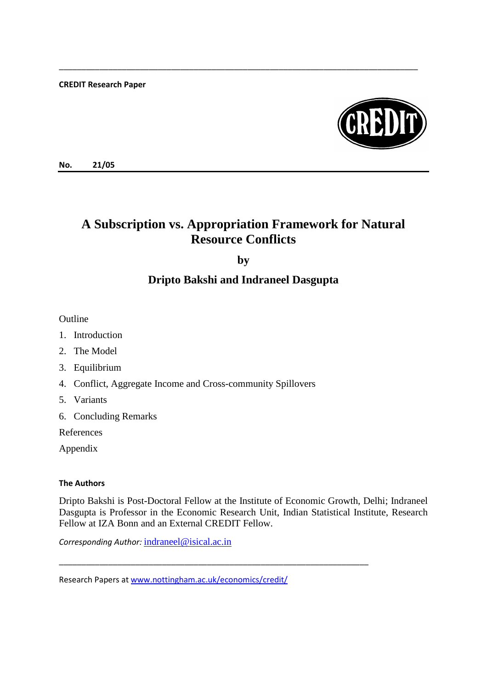**CREDIT Research Paper**



**No. 21/05**

# **A Subscription vs. Appropriation Framework for Natural Resource Conflicts**

\_\_\_\_\_\_\_\_\_\_\_\_\_\_\_\_\_\_\_\_\_\_\_\_\_\_\_\_\_\_\_\_\_\_\_\_\_\_\_\_\_\_\_\_\_\_\_\_\_\_\_\_\_\_\_\_\_\_\_\_\_\_\_\_\_\_\_\_\_\_\_\_\_\_\_\_\_\_\_\_

**by**

# **Dripto Bakshi and Indraneel Dasgupta**

Outline

- 1. Introduction
- 2. The Model
- 3. Equilibrium
- 4. Conflict, Aggregate Income and Cross-community Spillovers
- 5. Variants
- 6. Concluding Remarks

References

Appendix

## **The Authors**

Dripto Bakshi is Post-Doctoral Fellow at the Institute of Economic Growth, Delhi; Indraneel Dasgupta is Professor in the Economic Research Unit, Indian Statistical Institute, Research Fellow at IZA Bonn and an External CREDIT Fellow.

\_\_\_\_\_\_\_\_\_\_\_\_\_\_\_\_\_\_\_\_\_\_\_\_\_\_\_\_\_\_\_\_\_\_\_\_\_\_\_\_\_\_\_\_\_\_\_\_\_\_\_\_\_\_\_\_\_\_\_\_\_\_\_\_\_\_\_\_\_

*Corresponding Author:* [indraneel@isical.ac.in](mailto:indraneel@isical.ac.in)

Research Papers a[t www.nottingham.ac.uk/economics/credit/](http://www.nottingham.ac.uk/economics/credit/)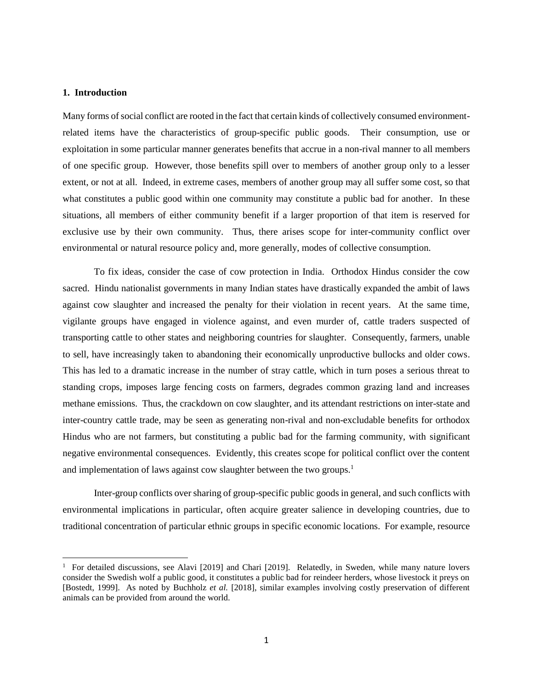#### **1. Introduction**

 $\overline{\phantom{a}}$ 

Many forms of social conflict are rooted in the fact that certain kinds of collectively consumed environmentrelated items have the characteristics of group-specific public goods. Their consumption, use or exploitation in some particular manner generates benefits that accrue in a non-rival manner to all members of one specific group. However, those benefits spill over to members of another group only to a lesser extent, or not at all. Indeed, in extreme cases, members of another group may all suffer some cost, so that what constitutes a public good within one community may constitute a public bad for another. In these situations, all members of either community benefit if a larger proportion of that item is reserved for exclusive use by their own community. Thus, there arises scope for inter-community conflict over environmental or natural resource policy and, more generally, modes of collective consumption.

To fix ideas, consider the case of cow protection in India. Orthodox Hindus consider the cow sacred. Hindu nationalist governments in many Indian states have drastically expanded the ambit of laws against cow slaughter and increased the penalty for their violation in recent years. At the same time, vigilante groups have engaged in violence against, and even murder of, cattle traders suspected of transporting cattle to other states and neighboring countries for slaughter. Consequently, farmers, unable to sell, have increasingly taken to abandoning their economically unproductive bullocks and older cows. This has led to a dramatic increase in the number of stray cattle, which in turn poses a serious threat to standing crops, imposes large fencing costs on farmers, degrades common grazing land and increases methane emissions. Thus, the crackdown on cow slaughter, and its attendant restrictions on inter-state and inter-country cattle trade, may be seen as generating non-rival and non-excludable benefits for orthodox Hindus who are not farmers, but constituting a public bad for the farming community, with significant negative environmental consequences. Evidently, this creates scope for political conflict over the content and implementation of laws against cow slaughter between the two groups.<sup>1</sup>

Inter-group conflicts over sharing of group-specific public goods in general, and such conflicts with environmental implications in particular, often acquire greater salience in developing countries, due to traditional concentration of particular ethnic groups in specific economic locations. For example, resource

<sup>&</sup>lt;sup>1</sup> For detailed discussions, see Alavi [2019] and Chari [2019]. Relatedly, in Sweden, while many nature lovers consider the Swedish wolf a public good, it constitutes a public bad for reindeer herders, whose livestock it preys on [Bostedt, 1999]. As noted by Buchholz *et al.* [2018], similar examples involving costly preservation of different animals can be provided from around the world.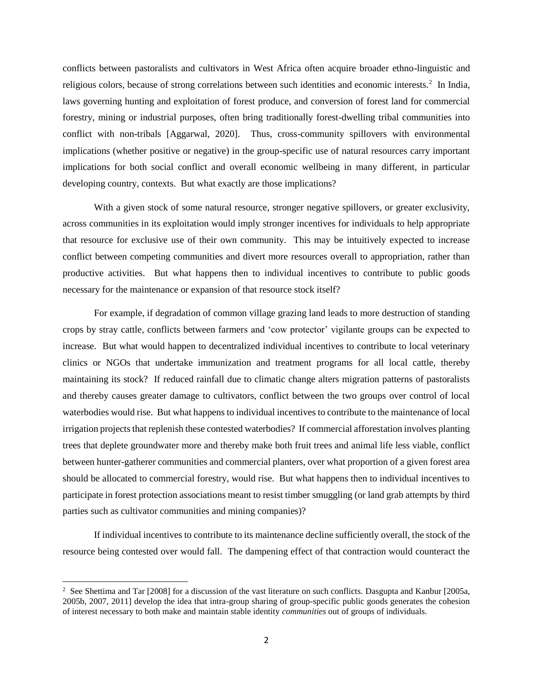conflicts between pastoralists and cultivators in West Africa often acquire broader ethno-linguistic and religious colors, because of strong correlations between such identities and economic interests.<sup>2</sup> In India, laws governing hunting and exploitation of forest produce, and conversion of forest land for commercial forestry, mining or industrial purposes, often bring traditionally forest-dwelling tribal communities into conflict with non-tribals [Aggarwal, 2020]. Thus, cross-community spillovers with environmental implications (whether positive or negative) in the group-specific use of natural resources carry important implications for both social conflict and overall economic wellbeing in many different, in particular developing country, contexts. But what exactly are those implications?

With a given stock of some natural resource, stronger negative spillovers, or greater exclusivity, across communities in its exploitation would imply stronger incentives for individuals to help appropriate that resource for exclusive use of their own community. This may be intuitively expected to increase conflict between competing communities and divert more resources overall to appropriation, rather than productive activities. But what happens then to individual incentives to contribute to public goods necessary for the maintenance or expansion of that resource stock itself?

For example, if degradation of common village grazing land leads to more destruction of standing crops by stray cattle, conflicts between farmers and 'cow protector' vigilante groups can be expected to increase. But what would happen to decentralized individual incentives to contribute to local veterinary clinics or NGOs that undertake immunization and treatment programs for all local cattle, thereby maintaining its stock? If reduced rainfall due to climatic change alters migration patterns of pastoralists and thereby causes greater damage to cultivators, conflict between the two groups over control of local waterbodies would rise. But what happens to individual incentives to contribute to the maintenance of local irrigation projects that replenish these contested waterbodies? If commercial afforestation involves planting trees that deplete groundwater more and thereby make both fruit trees and animal life less viable, conflict between hunter-gatherer communities and commercial planters, over what proportion of a given forest area should be allocated to commercial forestry, would rise. But what happens then to individual incentives to participate in forest protection associations meant to resist timber smuggling (or land grab attempts by third parties such as cultivator communities and mining companies)?

If individual incentives to contribute to its maintenance decline sufficiently overall, the stock of the resource being contested over would fall. The dampening effect of that contraction would counteract the

 $\overline{\phantom{a}}$ 

<sup>&</sup>lt;sup>2</sup> See Shettima and Tar [2008] for a discussion of the vast literature on such conflicts. Dasgupta and Kanbur [2005a, 2005b, 2007, 2011] develop the idea that intra-group sharing of group-specific public goods generates the cohesion of interest necessary to both make and maintain stable identity *communities* out of groups of individuals.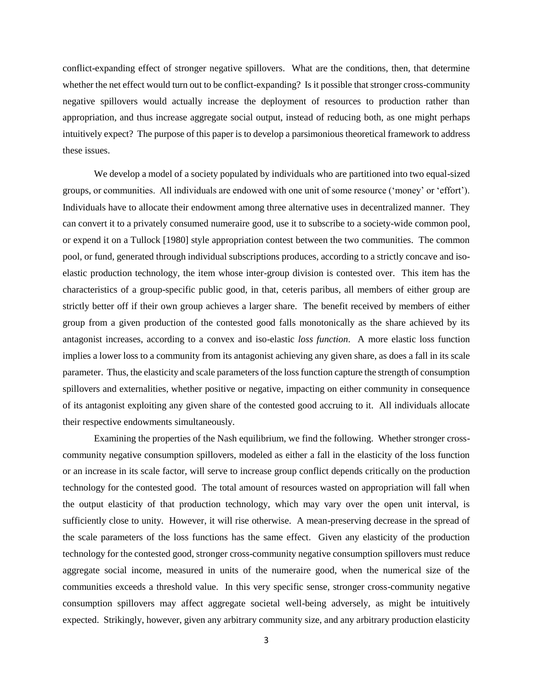conflict-expanding effect of stronger negative spillovers. What are the conditions, then, that determine whether the net effect would turn out to be conflict-expanding? Is it possible that stronger cross-community negative spillovers would actually increase the deployment of resources to production rather than appropriation, and thus increase aggregate social output, instead of reducing both, as one might perhaps intuitively expect? The purpose of this paper is to develop a parsimonious theoretical framework to address these issues.

We develop a model of a society populated by individuals who are partitioned into two equal-sized groups, or communities. All individuals are endowed with one unit of some resource ('money' or 'effort'). Individuals have to allocate their endowment among three alternative uses in decentralized manner. They can convert it to a privately consumed numeraire good, use it to subscribe to a society-wide common pool, or expend it on a Tullock [1980] style appropriation contest between the two communities. The common pool, or fund, generated through individual subscriptions produces, according to a strictly concave and isoelastic production technology, the item whose inter-group division is contested over. This item has the characteristics of a group-specific public good, in that, ceteris paribus, all members of either group are strictly better off if their own group achieves a larger share. The benefit received by members of either group from a given production of the contested good falls monotonically as the share achieved by its antagonist increases, according to a convex and iso-elastic *loss function*. A more elastic loss function implies a lower loss to a community from its antagonist achieving any given share, as does a fall in its scale parameter. Thus, the elasticity and scale parameters of the loss function capture the strength of consumption spillovers and externalities, whether positive or negative, impacting on either community in consequence of its antagonist exploiting any given share of the contested good accruing to it. All individuals allocate their respective endowments simultaneously.

Examining the properties of the Nash equilibrium, we find the following. Whether stronger crosscommunity negative consumption spillovers, modeled as either a fall in the elasticity of the loss function or an increase in its scale factor, will serve to increase group conflict depends critically on the production technology for the contested good. The total amount of resources wasted on appropriation will fall when the output elasticity of that production technology, which may vary over the open unit interval, is sufficiently close to unity. However, it will rise otherwise. A mean-preserving decrease in the spread of the scale parameters of the loss functions has the same effect. Given any elasticity of the production technology for the contested good, stronger cross-community negative consumption spillovers must reduce aggregate social income, measured in units of the numeraire good, when the numerical size of the communities exceeds a threshold value. In this very specific sense, stronger cross-community negative consumption spillovers may affect aggregate societal well-being adversely, as might be intuitively expected. Strikingly, however, given any arbitrary community size, and any arbitrary production elasticity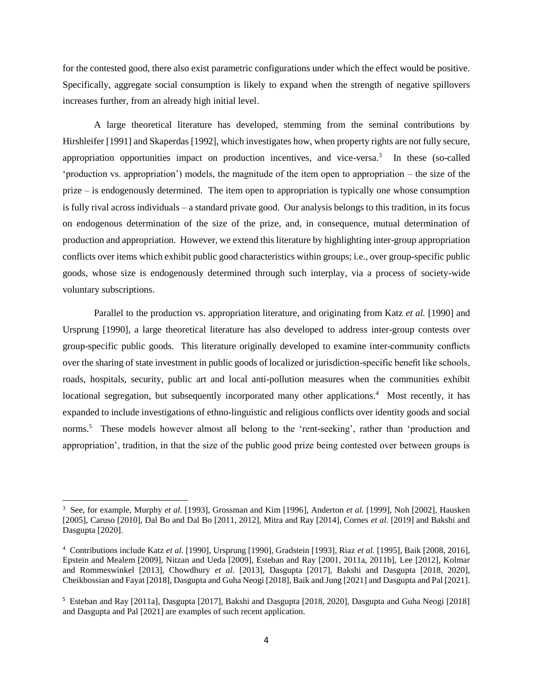for the contested good, there also exist parametric configurations under which the effect would be positive. Specifically, aggregate social consumption is likely to expand when the strength of negative spillovers increases further, from an already high initial level.

A large theoretical literature has developed, stemming from the seminal contributions by Hirshleifer [1991] and Skaperdas [1992], which investigates how, when property rights are not fully secure, appropriation opportunities impact on production incentives, and vice-versa.<sup>3</sup> In these (so-called 'production vs. appropriation') models, the magnitude of the item open to appropriation – the size of the prize – is endogenously determined. The item open to appropriation is typically one whose consumption is fully rival across individuals – a standard private good. Our analysis belongs to this tradition, in its focus on endogenous determination of the size of the prize, and, in consequence, mutual determination of production and appropriation. However, we extend this literature by highlighting inter-group appropriation conflicts over items which exhibit public good characteristics within groups; i.e., over group-specific public goods, whose size is endogenously determined through such interplay, via a process of society-wide voluntary subscriptions.

Parallel to the production vs. appropriation literature, and originating from Katz *et al.* [1990] and Ursprung [1990], a large theoretical literature has also developed to address inter-group contests over group-specific public goods. This literature originally developed to examine inter-community conflicts over the sharing of state investment in public goods of localized or jurisdiction-specific benefit like schools, roads, hospitals, security, public art and local anti-pollution measures when the communities exhibit locational segregation, but subsequently incorporated many other applications.<sup>4</sup> Most recently, it has expanded to include investigations of ethno-linguistic and religious conflicts over identity goods and social norms.<sup>5</sup> These models however almost all belong to the 'rent-seeking', rather than 'production and appropriation', tradition, in that the size of the public good prize being contested over between groups is

 $\overline{\phantom{a}}$ 

<sup>3</sup> See, for example, Murphy *et al.* [1993], Grossman and Kim [1996], Anderton *et al.* [1999], Noh [2002], Hausken [2005], Caruso [2010], Dal Bo and Dal Bo [2011, 2012], Mitra and Ray [2014], Cornes *et al.* [2019] and Bakshi and Dasgupta [2020].

<sup>4</sup> Contributions include Katz *et al.* [1990], Ursprung [1990], Gradstein [1993], Riaz *et al.* [1995], Baik [2008, 2016], Epstein and Mealem [2009], Nitzan and Ueda [2009], Esteban and Ray [2001, 2011a, 2011b], Lee [2012], Kolmar and Rommeswinkel [2013], Chowdhury *et al.* [2013], Dasgupta [2017], Bakshi and Dasgupta [2018, 2020], Cheikbossian and Fayat [2018], Dasgupta and Guha Neogi [2018], Baik and Jung [2021] and Dasgupta and Pal [2021].

<sup>&</sup>lt;sup>5</sup> Esteban and Ray [2011a], Dasgupta [2017], Bakshi and Dasgupta [2018, 2020], Dasgupta and Guha Neogi [2018] and Dasgupta and Pal [2021] are examples of such recent application.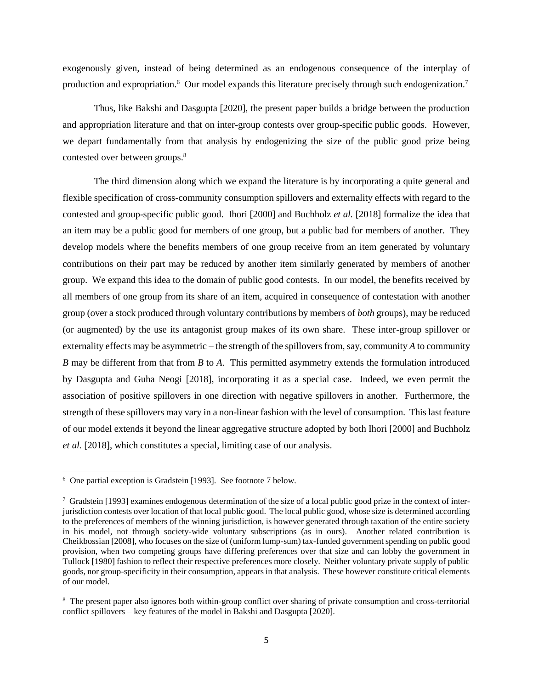exogenously given, instead of being determined as an endogenous consequence of the interplay of production and expropriation.<sup>6</sup> Our model expands this literature precisely through such endogenization.<sup>7</sup>

Thus, like Bakshi and Dasgupta [2020], the present paper builds a bridge between the production and appropriation literature and that on inter-group contests over group-specific public goods. However, we depart fundamentally from that analysis by endogenizing the size of the public good prize being contested over between groups.<sup>8</sup>

The third dimension along which we expand the literature is by incorporating a quite general and flexible specification of cross-community consumption spillovers and externality effects with regard to the contested and group-specific public good. Ihori [2000] and Buchholz *et al.* [2018] formalize the idea that an item may be a public good for members of one group, but a public bad for members of another. They develop models where the benefits members of one group receive from an item generated by voluntary contributions on their part may be reduced by another item similarly generated by members of another group. We expand this idea to the domain of public good contests. In our model, the benefits received by all members of one group from its share of an item, acquired in consequence of contestation with another group (over a stock produced through voluntary contributions by members of *both* groups), may be reduced (or augmented) by the use its antagonist group makes of its own share. These inter-group spillover or externality effects may be asymmetric – the strength of the spillovers from, say, community *A* to community *B* may be different from that from *B* to *A*. This permitted asymmetry extends the formulation introduced by Dasgupta and Guha Neogi [2018], incorporating it as a special case. Indeed, we even permit the association of positive spillovers in one direction with negative spillovers in another. Furthermore, the strength of these spillovers may vary in a non-linear fashion with the level of consumption. This last feature of our model extends it beyond the linear aggregative structure adopted by both Ihori [2000] and Buchholz *et al.* [2018], which constitutes a special, limiting case of our analysis.

 $\overline{\phantom{a}}$ 

<sup>6</sup> One partial exception is Gradstein [1993]. See footnote 7 below.

 $^7$  Gradstein [1993] examines endogenous determination of the size of a local public good prize in the context of interjurisdiction contests over location of that local public good. The local public good, whose size is determined according to the preferences of members of the winning jurisdiction, is however generated through taxation of the entire society in his model, not through society-wide voluntary subscriptions (as in ours). Another related contribution is Cheikbossian [2008], who focuses on the size of (uniform lump-sum) tax-funded government spending on public good provision, when two competing groups have differing preferences over that size and can lobby the government in Tullock [1980] fashion to reflect their respective preferences more closely. Neither voluntary private supply of public goods, nor group-specificity in their consumption, appears in that analysis. These however constitute critical elements of our model.

<sup>&</sup>lt;sup>8</sup> The present paper also ignores both within-group conflict over sharing of private consumption and cross-territorial conflict spillovers – key features of the model in Bakshi and Dasgupta [2020].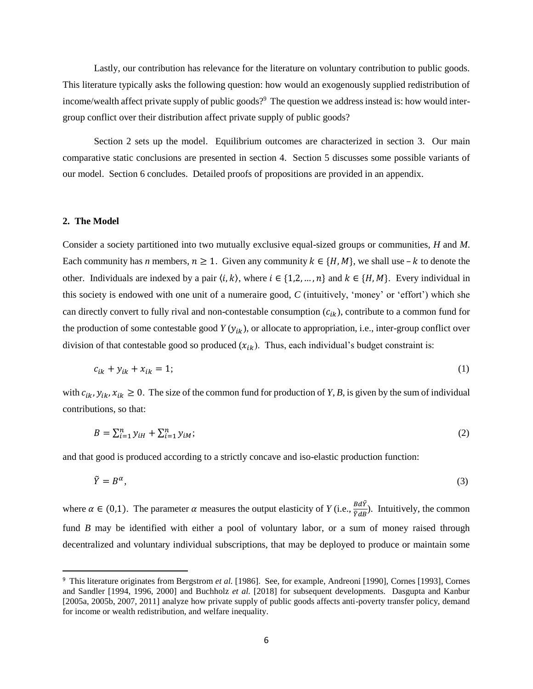Lastly, our contribution has relevance for the literature on voluntary contribution to public goods. This literature typically asks the following question: how would an exogenously supplied redistribution of income/wealth affect private supply of public goods?<sup>9</sup> The question we address instead is: how would intergroup conflict over their distribution affect private supply of public goods?

Section 2 sets up the model. Equilibrium outcomes are characterized in section 3. Our main comparative static conclusions are presented in section 4. Section 5 discusses some possible variants of our model. Section 6 concludes. Detailed proofs of propositions are provided in an appendix.

#### **2. The Model**

 $\overline{a}$ 

Consider a society partitioned into two mutually exclusive equal-sized groups or communities, *H* and *M*. Each community has *n* members,  $n \geq 1$ . Given any community  $k \in \{H, M\}$ , we shall use  $-k$  to denote the other. Individuals are indexed by a pair  $\langle i, k \rangle$ , where  $i \in \{1, 2, ..., n\}$  and  $k \in \{H, M\}$ . Every individual in this society is endowed with one unit of a numeraire good, *C* (intuitively, 'money' or 'effort') which she can directly convert to fully rival and non-contestable consumption  $(c_{ik})$ , contribute to a common fund for the production of some contestable good  $Y(y_{ik})$ , or allocate to appropriation, i.e., inter-group conflict over division of that contestable good so produced  $(x_{ik})$ . Thus, each individual's budget constraint is:

$$
c_{ik} + y_{ik} + x_{ik} = 1; \tag{1}
$$

with  $c_{ik}$ ,  $y_{ik}$ ,  $x_{ik} \ge 0$ . The size of the common fund for production of *Y*, *B*, is given by the sum of individual contributions, so that:

$$
B = \sum_{i=1}^{n} y_{iH} + \sum_{i=1}^{n} y_{iM};
$$
\n(2)

and that good is produced according to a strictly concave and iso-elastic production function:

$$
\tilde{Y} = B^{\alpha},\tag{3}
$$

where  $\alpha \in (0,1)$ . The parameter  $\alpha$  measures the output elasticity of *Y* (i.e.,  $\frac{B d\tilde{Y}}{\tilde{Y} dB}$ ). Intuitively, the common fund *B* may be identified with either a pool of voluntary labor, or a sum of money raised through decentralized and voluntary individual subscriptions, that may be deployed to produce or maintain some

<sup>&</sup>lt;sup>9</sup> This literature originates from Bergstrom et al. [1986]. See, for example, Andreoni [1990], Cornes [1993], Cornes and Sandler [1994, 1996, 2000] and Buchholz *et al.* [2018] for subsequent developments. Dasgupta and Kanbur [2005a, 2005b, 2007, 2011] analyze how private supply of public goods affects anti-poverty transfer policy, demand for income or wealth redistribution, and welfare inequality.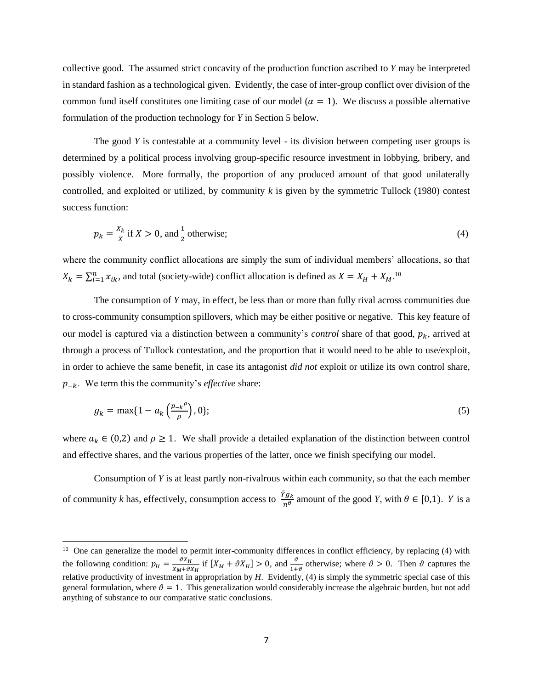collective good. The assumed strict concavity of the production function ascribed to *Y* may be interpreted in standard fashion as a technological given. Evidently, the case of inter-group conflict over division of the common fund itself constitutes one limiting case of our model ( $\alpha = 1$ ). We discuss a possible alternative formulation of the production technology for *Y* in Section 5 below.

The good *Y* is contestable at a community level - its division between competing user groups is determined by a political process involving group-specific resource investment in lobbying, bribery, and possibly violence. More formally, the proportion of any produced amount of that good unilaterally controlled, and exploited or utilized, by community *k* is given by the symmetric Tullock (1980) contest success function:

$$
p_k = \frac{x_k}{x} \text{ if } X > 0 \text{, and } \frac{1}{2} \text{ otherwise;}
$$
\n<sup>(4)</sup>

where the community conflict allocations are simply the sum of individual members' allocations, so that  $X_k = \sum_{i=1}^n x_{ik}$ , and total (society-wide) conflict allocation is defined as  $X = X_H + X_M$ .<sup>10</sup>

The consumption of *Y* may, in effect, be less than or more than fully rival across communities due to cross-community consumption spillovers, which may be either positive or negative. This key feature of our model is captured via a distinction between a community's *control* share of that good,  $p_k$ , arrived at through a process of Tullock contestation, and the proportion that it would need to be able to use/exploit, in order to achieve the same benefit, in case its antagonist *did not* exploit or utilize its own control share,  $p_{-k}$ . We term this the community's *effective* share:

$$
g_k = \max\{1 - a_k\left(\frac{p_{-k}^{\rho}}{\rho}\right), 0\};\tag{5}
$$

where  $a_k \in (0,2)$  and  $\rho \ge 1$ . We shall provide a detailed explanation of the distinction between control and effective shares, and the various properties of the latter, once we finish specifying our model.

Consumption of *Y* is at least partly non-rivalrous within each community, so that the each member of community *k* has, effectively, consumption access to  $\frac{\tilde{Y}g_k}{n^\theta}$  amount of the good *Y*, with  $\theta \in [0,1)$ . *Y* is a

 $\overline{\phantom{a}}$ 

 $10$  One can generalize the model to permit inter-community differences in conflict efficiency, by replacing (4) with the following condition:  $p_H = \frac{\vartheta X_H}{X_{11} + \vartheta Y_{12}}$  $\frac{\partial X_H}{\partial X_M + \partial X_H}$  if  $[X_M + \partial X_H] > 0$ , and  $\frac{\partial}{\partial X_M}$  otherwise; where  $\vartheta > 0$ . Then  $\vartheta$  captures the relative productivity of investment in appropriation by *H*. Evidently, (4) is simply the symmetric special case of this general formulation, where  $\vartheta = 1$ . This generalization would considerably increase the algebraic burden, but not add anything of substance to our comparative static conclusions.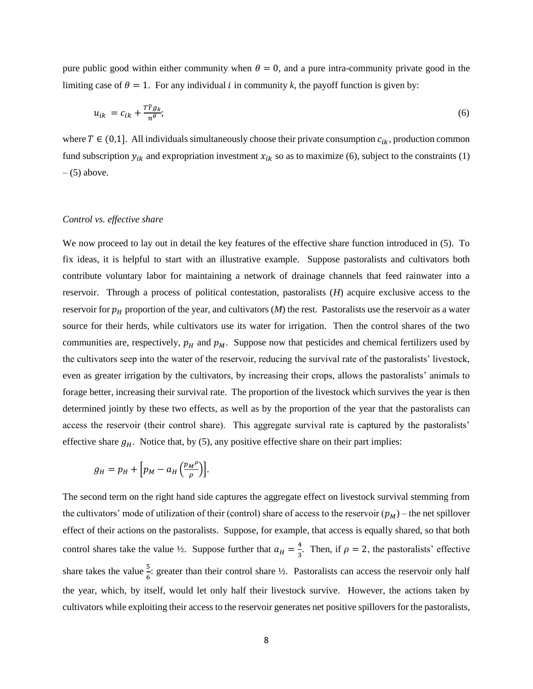pure public good within either community when  $\theta = 0$ , and a pure intra-community private good in the limiting case of  $\theta = 1$ . For any individual *i* in community *k*, the payoff function is given by:

$$
u_{ik} = c_{ik} + \frac{T\tilde{Y}g_k}{n^{\theta}};
$$
\n<sup>(6)</sup>

where  $T \in (0,1]$ . All individuals simultaneously choose their private consumption  $c_{ik}$ , production common fund subscription  $y_{ik}$  and expropriation investment  $x_{ik}$  so as to maximize (6), subject to the constraints (1)  $-$  (5) above.

#### *Control vs. effective share*

We now proceed to lay out in detail the key features of the effective share function introduced in (5). To fix ideas, it is helpful to start with an illustrative example. Suppose pastoralists and cultivators both contribute voluntary labor for maintaining a network of drainage channels that feed rainwater into a reservoir. Through a process of political contestation, pastoralists (*H*) acquire exclusive access to the reservoir for  $p_H$  proportion of the year, and cultivators  $(M)$  the rest. Pastoralists use the reservoir as a water source for their herds, while cultivators use its water for irrigation. Then the control shares of the two communities are, respectively,  $p_H$  and  $p_M$ . Suppose now that pesticides and chemical fertilizers used by the cultivators seep into the water of the reservoir, reducing the survival rate of the pastoralists' livestock, even as greater irrigation by the cultivators, by increasing their crops, allows the pastoralists' animals to forage better, increasing their survival rate. The proportion of the livestock which survives the year is then determined jointly by these two effects, as well as by the proportion of the year that the pastoralists can access the reservoir (their control share). This aggregate survival rate is captured by the pastoralists' effective share  $g_H$ . Notice that, by (5), any positive effective share on their part implies:

$$
g_H = p_H + \left[p_M - a_H \left(\frac{p_M^{\rho}}{\rho}\right)\right].
$$

The second term on the right hand side captures the aggregate effect on livestock survival stemming from the cultivators' mode of utilization of their (control) share of access to the reservoir  $(p_M)$  – the net spillover effect of their actions on the pastoralists. Suppose, for example, that access is equally shared, so that both control shares take the value  $\frac{1}{2}$ . Suppose further that  $a_H = \frac{4}{3}$  $\frac{4}{3}$ . Then, if  $\rho = 2$ , the pastoralists' effective share takes the value  $\frac{5}{6}$ : greater than their control share  $\frac{1}{2}$ . Pastoralists can access the reservoir only half the year, which, by itself, would let only half their livestock survive. However, the actions taken by cultivators while exploiting their access to the reservoir generates net positive spillovers for the pastoralists,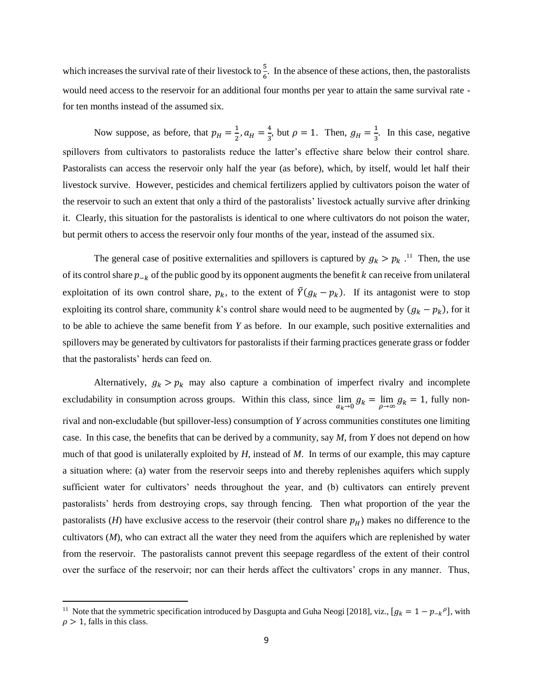which increases the survival rate of their livestock to  $\frac{5}{6}$ . In the absence of these actions, then, the pastoralists would need access to the reservoir for an additional four months per year to attain the same survival rate for ten months instead of the assumed six.

Now suppose, as before, that  $p_H = \frac{1}{2}$  $\frac{1}{2}$ ,  $a_H = \frac{4}{3}$  $\frac{4}{3}$ , but  $\rho = 1$ . Then,  $g_H = \frac{1}{3}$  $\frac{1}{3}$ . In this case, negative spillovers from cultivators to pastoralists reduce the latter's effective share below their control share. Pastoralists can access the reservoir only half the year (as before), which, by itself, would let half their livestock survive. However, pesticides and chemical fertilizers applied by cultivators poison the water of the reservoir to such an extent that only a third of the pastoralists' livestock actually survive after drinking it. Clearly, this situation for the pastoralists is identical to one where cultivators do not poison the water, but permit others to access the reservoir only four months of the year, instead of the assumed six.

The general case of positive externalities and spillovers is captured by  $g_k > p_k$ .<sup>11</sup> Then, the use of its control share  $p_{-k}$  of the public good by its opponent augments the benefit k can receive from unilateral exploitation of its own control share,  $p_k$ , to the extent of  $\tilde{Y}(g_k - p_k)$ . If its antagonist were to stop exploiting its control share, community *k*'s control share would need to be augmented by  $(g_k - p_k)$ , for it to be able to achieve the same benefit from *Y* as before. In our example, such positive externalities and spillovers may be generated by cultivators for pastoralists if their farming practices generate grass or fodder that the pastoralists' herds can feed on.

Alternatively,  $g_k > p_k$  may also capture a combination of imperfect rivalry and incomplete excludability in consumption across groups. Within this class, since  $\lim_{a_k \to 0} g_k = \lim_{\rho \to \infty} g_k = 1$ , fully nonrival and non-excludable (but spillover-less) consumption of *Y* across communities constitutes one limiting case. In this case, the benefits that can be derived by a community, say *M*, from *Y* does not depend on how much of that good is unilaterally exploited by *H*, instead of *M*. In terms of our example, this may capture a situation where: (a) water from the reservoir seeps into and thereby replenishes aquifers which supply sufficient water for cultivators' needs throughout the year, and (b) cultivators can entirely prevent pastoralists' herds from destroying crops, say through fencing. Then what proportion of the year the pastoralists (*H*) have exclusive access to the reservoir (their control share  $p_H$ ) makes no difference to the cultivators (*M*), who can extract all the water they need from the aquifers which are replenished by water from the reservoir. The pastoralists cannot prevent this seepage regardless of the extent of their control over the surface of the reservoir; nor can their herds affect the cultivators' crops in any manner. Thus,

<sup>&</sup>lt;sup>11</sup> Note that the symmetric specification introduced by Dasgupta and Guha Neogi [2018], viz.,  $[g_k = 1 - p_{-k}^\rho]$ , with  $\rho > 1$ , falls in this class.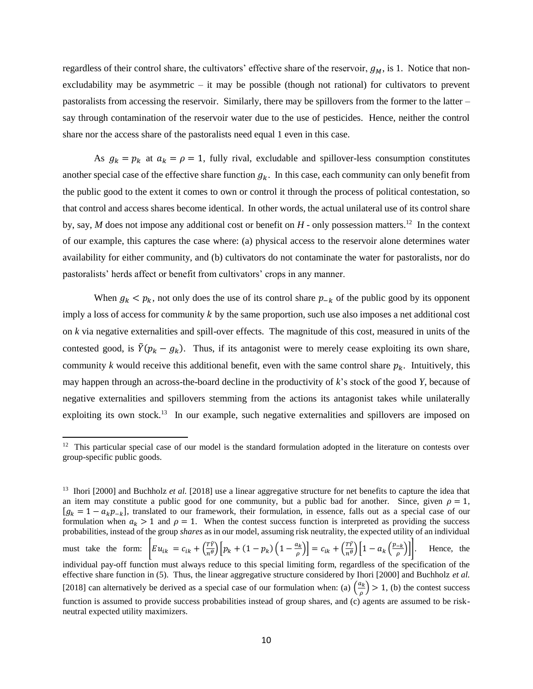regardless of their control share, the cultivators' effective share of the reservoir,  $g_M$ , is 1. Notice that nonexcludability may be asymmetric – it may be possible (though not rational) for cultivators to prevent pastoralists from accessing the reservoir. Similarly, there may be spillovers from the former to the latter – say through contamination of the reservoir water due to the use of pesticides. Hence, neither the control share nor the access share of the pastoralists need equal 1 even in this case.

As  $g_k = p_k$  at  $a_k = \rho = 1$ , fully rival, excludable and spillover-less consumption constitutes another special case of the effective share function  $g_k$ . In this case, each community can only benefit from the public good to the extent it comes to own or control it through the process of political contestation, so that control and access shares become identical. In other words, the actual unilateral use of its control share by, say,  $M$  does not impose any additional cost or benefit on  $H$  - only possession matters.<sup>12</sup> In the context of our example, this captures the case where: (a) physical access to the reservoir alone determines water availability for either community, and (b) cultivators do not contaminate the water for pastoralists, nor do pastoralists' herds affect or benefit from cultivators' crops in any manner.

When  $g_k < p_k$ , not only does the use of its control share  $p_{-k}$  of the public good by its opponent imply a loss of access for community  $k$  by the same proportion, such use also imposes a net additional cost on *k* via negative externalities and spill-over effects. The magnitude of this cost, measured in units of the contested good, is  $\tilde{Y}(p_k - g_k)$ . Thus, if its antagonist were to merely cease exploiting its own share, community *k* would receive this additional benefit, even with the same control share  $p_k$ . Intuitively, this may happen through an across-the-board decline in the productivity of *k*'s stock of the good *Y*, because of negative externalities and spillovers stemming from the actions its antagonist takes while unilaterally exploiting its own stock.<sup>13</sup> In our example, such negative externalities and spillovers are imposed on

 $\overline{a}$ 

<sup>&</sup>lt;sup>12</sup> This particular special case of our model is the standard formulation adopted in the literature on contests over group-specific public goods.

<sup>&</sup>lt;sup>13</sup> Ihori [2000] and Buchholz *et al.* [2018] use a linear aggregative structure for net benefits to capture the idea that an item may constitute a public good for one community, but a public bad for another. Since, given  $\rho = 1$ ,  $[g_k = 1 - a_k p_{-k}]$ , translated to our framework, their formulation, in essence, falls out as a special case of our formulation when  $a_k > 1$  and  $\rho = 1$ . When the contest success function is interpreted as providing the success probabilities, instead of the group *shares* as in our model, assuming risk neutrality, the expected utility of an individual must take the form:  $E u_{ik} = c_{ik} + \left(\frac{T\tilde{Y}}{n\theta}\right)^2$  $\frac{T\tilde{Y}}{n\theta}\Big[\overline{p}_k+(1-p_k)\Big(1-\frac{a_k}{\rho}\Big)$  $\left[\frac{a_k}{\rho}\right]$  =  $c_{ik} + \left(\frac{T\tilde{Y}}{n\theta}\right)$  $\left(\frac{T\tilde{Y}}{n\theta}\right)\left[1-a_k\left(\frac{p_{-k}}{\rho}\right)\right]$  $\rho$ Hence, the individual pay-off function must always reduce to this special limiting form, regardless of the specification of the effective share function in (5). Thus, the linear aggregative structure considered by Ihori [2000] and Buchholz *et al.* [2018] can alternatively be derived as a special case of our formulation when: (a)  $\left(\frac{a_k}{a_k}\right)$  $\left(\frac{a_k}{\rho}\right)$  > 1, (b) the contest success function is assumed to provide success probabilities instead of group shares, and (c) agents are assumed to be riskneutral expected utility maximizers.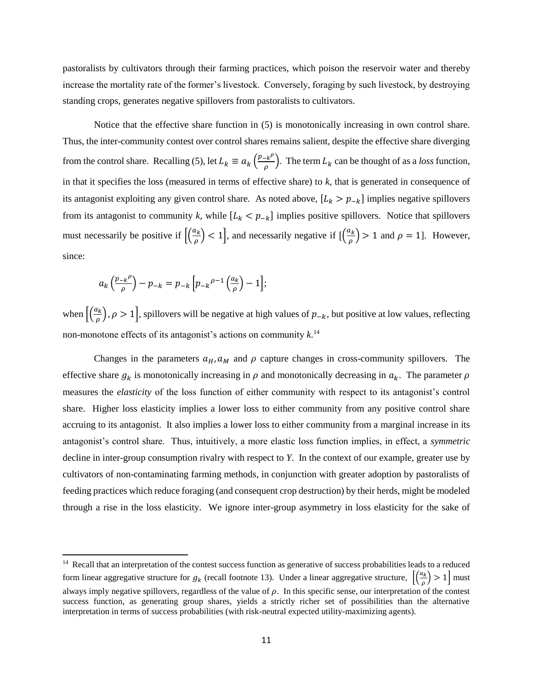pastoralists by cultivators through their farming practices, which poison the reservoir water and thereby increase the mortality rate of the former's livestock. Conversely, foraging by such livestock, by destroying standing crops, generates negative spillovers from pastoralists to cultivators.

Notice that the effective share function in (5) is monotonically increasing in own control share. Thus, the inter-community contest over control shares remains salient, despite the effective share diverging from the control share. Recalling (5), let  $L_k \equiv a_k \left(\frac{p - k^{\rho}}{q}\right)$  $\frac{c}{\rho}$ . The term  $L_k$  can be thought of as a *loss* function, in that it specifies the loss (measured in terms of effective share) to *k*, that is generated in consequence of its antagonist exploiting any given control share. As noted above,  $[L_k > p_{-k}]$  implies negative spillovers from its antagonist to community k, while  $[L_k < p_{-k}]$  implies positive spillovers. Notice that spillovers must necessarily be positive if  $\left[\frac{a_k}{a_k}\right]$  $\left(\frac{a_k}{\rho}\right)$  < 1], and necessarily negative if  $\left[\left(\frac{a_k}{\rho}\right)\right]$  $\left(\frac{\mu_{k}}{\rho}\right)$  > 1 and  $\rho = 1$ ]. However, since:

$$
a_k\left(\frac{p_{-k}\rho}{\rho}\right)-p_{-k}=p_{-k}\left[p_{-k}\rho^{-1}\left(\frac{a_k}{\rho}\right)-1\right];
$$

 $\overline{\phantom{a}}$ 

when  $\left[\frac{a_k}{a}\right]$  $\left(\frac{\hbar k}{\rho}\right)$ ,  $\rho > 1$ , spillovers will be negative at high values of  $p_{-k}$ , but positive at low values, reflecting non-monotone effects of its antagonist's actions on community *k*. 14

Changes in the parameters  $a_H$ ,  $a_M$  and  $\rho$  capture changes in cross-community spillovers. The effective share  $g_k$  is monotonically increasing in  $\rho$  and monotonically decreasing in  $a_k$ . The parameter  $\rho$ measures the *elasticity* of the loss function of either community with respect to its antagonist's control share. Higher loss elasticity implies a lower loss to either community from any positive control share accruing to its antagonist. It also implies a lower loss to either community from a marginal increase in its antagonist's control share. Thus, intuitively, a more elastic loss function implies, in effect, a *symmetric* decline in inter-group consumption rivalry with respect to *Y*. In the context of our example, greater use by cultivators of non-contaminating farming methods, in conjunction with greater adoption by pastoralists of feeding practices which reduce foraging (and consequent crop destruction) by their herds, might be modeled through a rise in the loss elasticity. We ignore inter-group asymmetry in loss elasticity for the sake of

<sup>&</sup>lt;sup>14</sup> Recall that an interpretation of the contest success function as generative of success probabilities leads to a reduced form linear aggregative structure for  $g_k$  (recall footnote 13). Under a linear aggregative structure,  $\left[\frac{a_k}{a_k}\right]$  $\left(\frac{\mu}{\rho}\right)$  > 1 | must always imply negative spillovers, regardless of the value of  $\rho$ . In this specific sense, our interpretation of the contest success function, as generating group shares, yields a strictly richer set of possibilities than the alternative interpretation in terms of success probabilities (with risk-neutral expected utility-maximizing agents).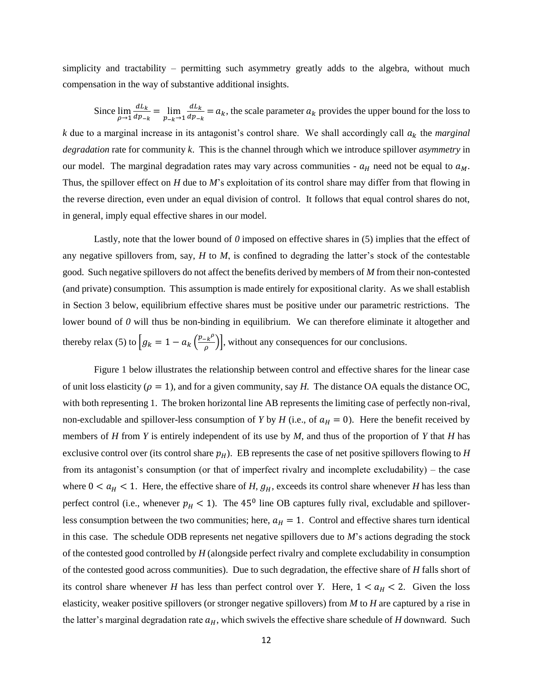simplicity and tractability – permitting such asymmetry greatly adds to the algebra, without much compensation in the way of substantive additional insights.

Since 
$$
\lim_{\rho \to 1} \frac{dL_k}{dp_{-k}} = \lim_{p_{-k} \to 1} \frac{dL_k}{dp_{-k}} = a_k
$$
, the scale parameter  $a_k$  provides the upper bound for the loss to

 $k$  due to a marginal increase in its antagonist's control share. We shall accordingly call  $a_k$  the *marginal degradation* rate for community *k*. This is the channel through which we introduce spillover *asymmetry* in our model. The marginal degradation rates may vary across communities -  $a_H$  need not be equal to  $a_M$ . Thus, the spillover effect on *H* due to *M*'s exploitation of its control share may differ from that flowing in the reverse direction, even under an equal division of control. It follows that equal control shares do not, in general, imply equal effective shares in our model.

Lastly, note that the lower bound of *0* imposed on effective shares in (5) implies that the effect of any negative spillovers from, say, *H* to *M*, is confined to degrading the latter's stock of the contestable good. Such negative spillovers do not affect the benefits derived by members of *M* from their non-contested (and private) consumption. This assumption is made entirely for expositional clarity. As we shall establish in Section 3 below, equilibrium effective shares must be positive under our parametric restrictions. The lower bound of *0* will thus be non-binding in equilibrium. We can therefore eliminate it altogether and thereby relax (5) to  $\int g_k = 1 - a_k \left(\frac{p - k^{\rho}}{g}\right)$  $\left[\frac{R'}{\rho}\right]$ , without any consequences for our conclusions.

Figure 1 below illustrates the relationship between control and effective shares for the linear case of unit loss elasticity ( $\rho = 1$ ), and for a given community, say *H*. The distance OA equals the distance OC, with both representing 1. The broken horizontal line AB represents the limiting case of perfectly non-rival, non-excludable and spillover-less consumption of *Y* by *H* (i.e., of  $a_H = 0$ ). Here the benefit received by members of *H* from *Y* is entirely independent of its use by *M*, and thus of the proportion of *Y* that *H* has exclusive control over (its control share  $p_H$ ). EB represents the case of net positive spillovers flowing to *H* from its antagonist's consumption (or that of imperfect rivalry and incomplete excludability) – the case where  $0 < a_H < 1$ . Here, the effective share of *H*,  $g_H$ , exceeds its control share whenever *H* has less than perfect control (i.e., whenever  $p_H < 1$ ). The 45<sup>0</sup> line OB captures fully rival, excludable and spilloverless consumption between the two communities; here,  $a_H = 1$ . Control and effective shares turn identical in this case. The schedule ODB represents net negative spillovers due to *M*'s actions degrading the stock of the contested good controlled by *H* (alongside perfect rivalry and complete excludability in consumption of the contested good across communities). Due to such degradation, the effective share of *H* falls short of its control share whenever *H* has less than perfect control over *Y*. Here,  $1 < a_H < 2$ . Given the loss elasticity, weaker positive spillovers (or stronger negative spillovers) from *M* to *H* are captured by a rise in the latter's marginal degradation rate  $a_H$ , which swivels the effective share schedule of *H* downward. Such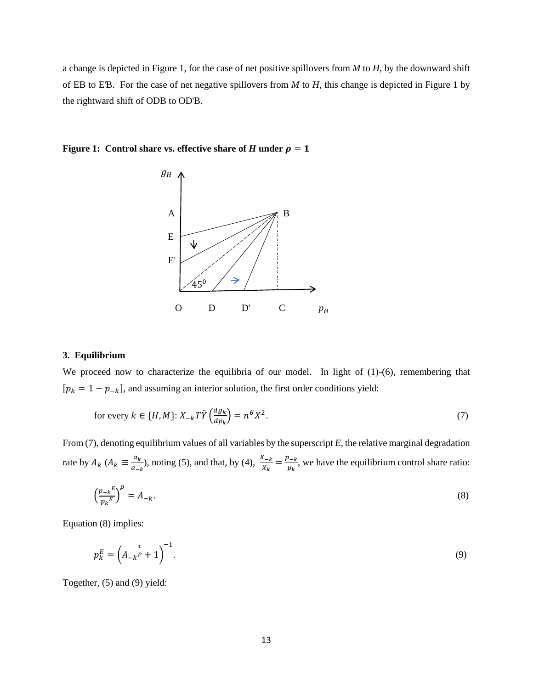a change is depicted in Figure 1, for the case of net positive spillovers from *M* to *H*, by the downward shift of EB to E'B. For the case of net negative spillovers from *M* to *H*, this change is depicted in Figure 1 by the rightward shift of ODB to OD'B.





## **3. Equilibrium**

We proceed now to characterize the equilibria of our model. In light of (1)-(6), remembering that  $[p_k = 1 - p_{-k}]$ , and assuming an interior solution, the first order conditions yield:

for every 
$$
k \in \{H, M\}
$$
:  $X_{-k}T\tilde{Y}\left(\frac{dg_k}{dp_k}\right) = n^{\theta}X^2$ . (7)

From (7), denoting equilibrium values of all variables by the superscript *E*, the relative marginal degradation rate by  $A_k$   $(A_k \equiv \frac{a_k}{a_k}$  $\frac{a_k}{a_{-k}}$ , noting (5), and that, by (4),  $\frac{X_{-k}}{X_k} = \frac{p_{-k}}{p_k}$  $\frac{\partial E_k}{\partial k}$ , we have the equilibrium control share ratio:

$$
\left(\frac{p_{-k}E}{p_kE}\right)^{\rho} = A_{-k}.\tag{8}
$$

Equation (8) implies:

$$
p_k^E = \left(A_{-k}^{\frac{1}{\rho}} + 1\right)^{-1}.
$$
\n(9)

Together, (5) and (9) yield: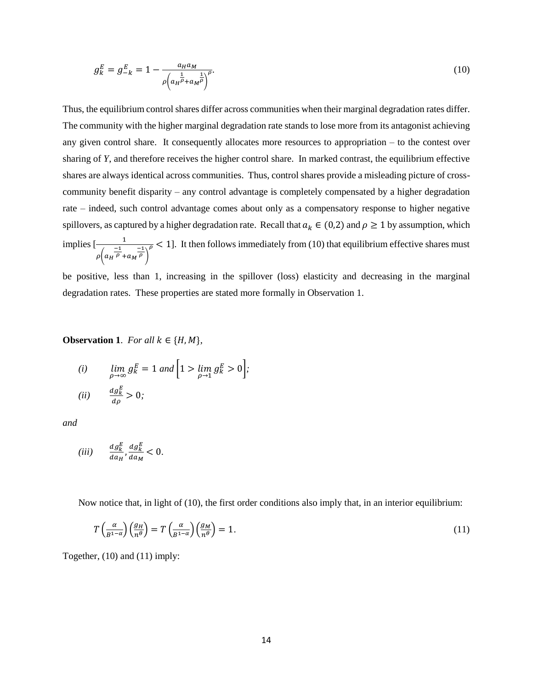$$
g_k^E = g_{-k}^E = 1 - \frac{a_H a_M}{\rho \left( a_H \bar{\rho} + a_M \bar{\rho} \right)^{\rho}}.
$$
\n(10)

Thus, the equilibrium control shares differ across communities when their marginal degradation rates differ. The community with the higher marginal degradation rate stands to lose more from its antagonist achieving any given control share. It consequently allocates more resources to appropriation – to the contest over sharing of *Y*, and therefore receives the higher control share. In marked contrast, the equilibrium effective shares are always identical across communities. Thus, control shares provide a misleading picture of crosscommunity benefit disparity – any control advantage is completely compensated by a higher degradation rate – indeed, such control advantage comes about only as a compensatory response to higher negative spillovers, as captured by a higher degradation rate. Recall that  $a_k \in (0,2)$  and  $\rho \ge 1$  by assumption, which implies  $\left[\frac{1}{\sqrt{1}}\right]$  $\rho$ (  $a_H$  $\frac{-1}{\rho} + a_M \frac{-1}{\rho}$  $\frac{1}{\sqrt{2}}$  < 1]. It then follows immediately from (10) that equilibrium effective shares must

be positive, less than 1, increasing in the spillover (loss) elasticity and decreasing in the marginal degradation rates. These properties are stated more formally in Observation 1.

**Observation 1**. *For all*  $k \in \{H, M\}$ ,

(i) 
$$
\lim_{\rho \to \infty} g_K^E = 1 \text{ and } \left[1 > \lim_{\rho \to 1} g_K^E > 0\right];
$$

$$
(ii) \qquad \frac{dg_k^E}{d\rho} > 0;
$$

*and* 

$$
(iii) \qquad \frac{dg_k^E}{da_H}, \frac{dg_k^E}{da_M} < 0.
$$

Now notice that, in light of (10), the first order conditions also imply that, in an interior equilibrium:

$$
T\left(\frac{\alpha}{B^{1-\alpha}}\right)\left(\frac{g_H}{n^{\theta}}\right) = T\left(\frac{\alpha}{B^{1-\alpha}}\right)\left(\frac{g_M}{n^{\theta}}\right) = 1.
$$
\n(11)

Together, (10) and (11) imply: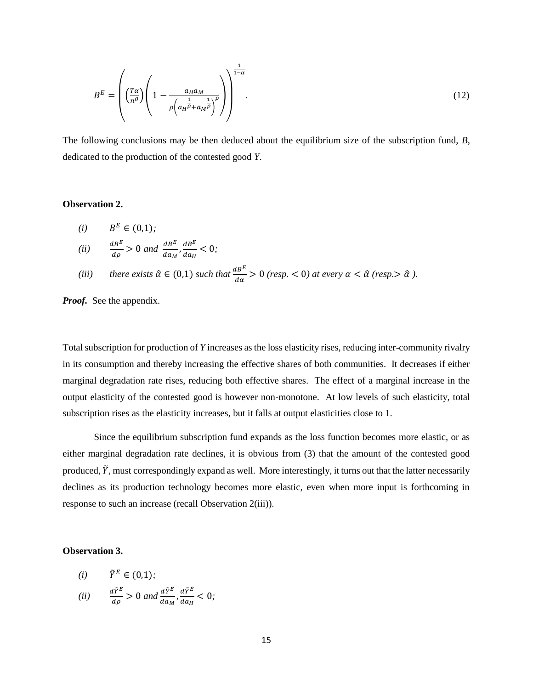$$
B^{E} = \left( \left( \frac{T\alpha}{n^{\theta}} \right) \left( 1 - \frac{a_{H} a_{M}}{\rho \left( a_{H} \frac{1}{\rho} + a_{M} \frac{1}{\rho} \right)^{\rho}} \right) \right)^{\frac{1}{1-\alpha}}.
$$
\n(12)

The following conclusions may be then deduced about the equilibrium size of the subscription fund, *B*, dedicated to the production of the contested good *Y*.

#### **Observation 2.**

\n- (i) 
$$
B^E \in (0,1);
$$
\n- (ii)  $\frac{d^E}{d\rho} > 0$  and  $\frac{d^E}{d\alpha_M}, \frac{d^E}{d\alpha_H} < 0;$
\n- (iii) there exists  $\hat{\alpha} \in (0,1)$  such that  $\frac{d^E}{d\alpha} > 0$  (resp. < 0) at every  $\alpha < \hat{\alpha}$  (resp. >  $\hat{\alpha}$ ).
\n

*Proof.* See the appendix.

Total subscription for production of *Y* increases as the loss elasticity rises, reducing inter-community rivalry in its consumption and thereby increasing the effective shares of both communities. It decreases if either marginal degradation rate rises, reducing both effective shares. The effect of a marginal increase in the output elasticity of the contested good is however non-monotone. At low levels of such elasticity, total subscription rises as the elasticity increases, but it falls at output elasticities close to 1.

Since the equilibrium subscription fund expands as the loss function becomes more elastic, or as either marginal degradation rate declines, it is obvious from (3) that the amount of the contested good produced,  $\tilde{Y}$ , must correspondingly expand as well. More interestingly, it turns out that the latter necessarily declines as its production technology becomes more elastic, even when more input is forthcoming in response to such an increase (recall Observation 2(iii)).

#### **Observation 3.**

(i) 
$$
\tilde{Y}^E \in (0,1);
$$
  
\n(ii)  $\frac{d\tilde{Y}^E}{d\rho} > 0$  and  $\frac{d\tilde{Y}^E}{da_M}, \frac{d\tilde{Y}^E}{da_H} < 0;$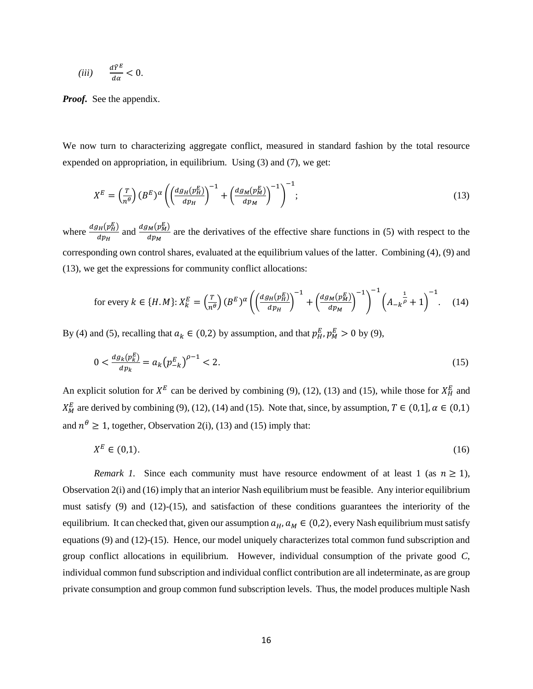$$
(iii) \qquad \frac{d\tilde{Y}^E}{d\alpha} < 0.
$$

*Proof.* See the appendix.

We now turn to characterizing aggregate conflict, measured in standard fashion by the total resource expended on appropriation, in equilibrium. Using (3) and (7), we get:

$$
X^{E} = \left(\frac{r}{n^{\theta}}\right)(B^{E})^{\alpha} \left(\left(\frac{dg_{H}(p_{H}^{E})}{dp_{H}}\right)^{-1} + \left(\frac{dg_{M}(p_{M}^{E})}{dp_{M}}\right)^{-1}\right)^{-1};
$$
\n(13)

where  $\frac{dg_H(p_H^E)}{dx}$  $\frac{d_{H}(p_{H}^{E})}{dp_{H}}$  and  $\frac{dg_{M}(p_{M}^{E})}{dp_{M}}$  $\frac{M(VM)}{dp_M}$  are the derivatives of the effective share functions in (5) with respect to the corresponding own control shares, evaluated at the equilibrium values of the latter. Combining (4), (9) and (13), we get the expressions for community conflict allocations:

for every 
$$
k \in \{H, M\}
$$
:  $X_k^E = \left(\frac{T}{n^{\theta}}\right)(B^E)^{\alpha} \left(\left(\frac{dg_H(p_H^E)}{dp_H}\right)^{-1} + \left(\frac{dg_M(p_M^E)}{dp_M}\right)^{-1}\right)^{-1} \left(A_{-k} \frac{1}{\rho} + 1\right)^{-1}$ . (14)

By (4) and (5), recalling that  $a_k \in (0,2)$  by assumption, and that  $p_H^E, p_M^E > 0$  by (9),

$$
0 < \frac{dg_k(p_k^E)}{dp_k} = a_k \left( p_{-k}^E \right)^{\rho - 1} < 2. \tag{15}
$$

An explicit solution for  $X^E$  can be derived by combining (9), (12), (13) and (15), while those for  $X_H^E$  and  $X_M^E$  are derived by combining (9), (12), (14) and (15). Note that, since, by assumption,  $T \in (0,1]$ ,  $\alpha \in (0,1)$ and  $n^{\theta} \ge 1$ , together, Observation 2(i), (13) and (15) imply that:

$$
X^E \in (0,1). \tag{16}
$$

*Remark 1.* Since each community must have resource endowment of at least 1 (as  $n \ge 1$ ), Observation 2(i) and (16) imply that an interior Nash equilibrium must be feasible. Any interior equilibrium must satisfy (9) and (12)-(15), and satisfaction of these conditions guarantees the interiority of the equilibrium. It can checked that, given our assumption  $a_H$ ,  $a_M \in (0,2)$ , every Nash equilibrium must satisfy equations (9) and (12)-(15). Hence, our model uniquely characterizes total common fund subscription and group conflict allocations in equilibrium. However, individual consumption of the private good *C*, individual common fund subscription and individual conflict contribution are all indeterminate, as are group private consumption and group common fund subscription levels. Thus, the model produces multiple Nash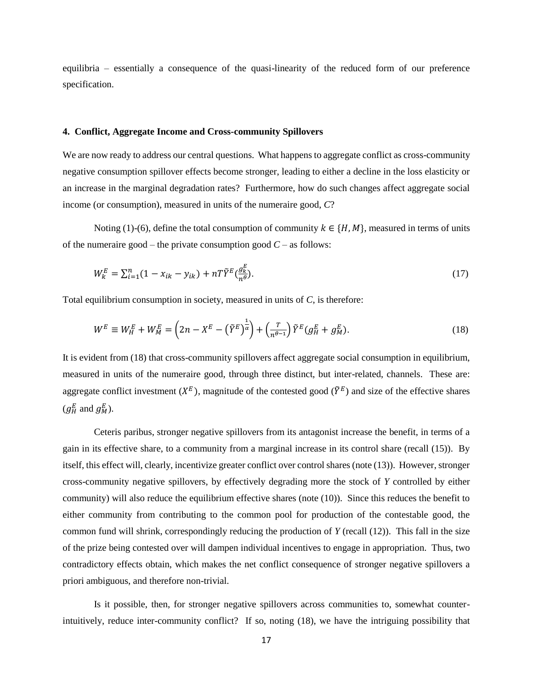equilibria – essentially a consequence of the quasi-linearity of the reduced form of our preference specification.

#### **4. Conflict, Aggregate Income and Cross-community Spillovers**

We are now ready to address our central questions. What happens to aggregate conflict as cross-community negative consumption spillover effects become stronger, leading to either a decline in the loss elasticity or an increase in the marginal degradation rates? Furthermore, how do such changes affect aggregate social income (or consumption), measured in units of the numeraire good, *C*?

Noting (1)-(6), define the total consumption of community  $k \in \{H, M\}$ , measured in terms of units of the numeraire good – the private consumption good  $C$  – as follows:

$$
W_k^E = \sum_{i=1}^n (1 - x_{ik} - y_{ik}) + nT \tilde{Y}^E \left(\frac{g_k^E}{n^{\theta}}\right).
$$
 (17)

Total equilibrium consumption in society, measured in units of *C*, is therefore:

$$
W^{E} \equiv W_{H}^{E} + W_{M}^{E} = \left(2n - X^{E} - \left(\tilde{Y}^{E}\right)^{\frac{1}{\alpha}}\right) + \left(\frac{r}{n^{\theta-1}}\right)\tilde{Y}^{E}\left(g_{H}^{E} + g_{M}^{E}\right). \tag{18}
$$

It is evident from (18) that cross-community spillovers affect aggregate social consumption in equilibrium, measured in units of the numeraire good, through three distinct, but inter-related, channels. These are: aggregate conflict investment ( $X^E$ ), magnitude of the contested good ( $\tilde{Y}^E$ ) and size of the effective shares  $(g_H^E \text{ and } g_M^E).$ 

Ceteris paribus, stronger negative spillovers from its antagonist increase the benefit, in terms of a gain in its effective share, to a community from a marginal increase in its control share (recall (15)). By itself, this effect will, clearly, incentivize greater conflict over control shares (note (13)). However, stronger cross-community negative spillovers, by effectively degrading more the stock of *Y* controlled by either community) will also reduce the equilibrium effective shares (note (10)). Since this reduces the benefit to either community from contributing to the common pool for production of the contestable good, the common fund will shrink, correspondingly reducing the production of *Y* (recall (12)). This fall in the size of the prize being contested over will dampen individual incentives to engage in appropriation. Thus, two contradictory effects obtain, which makes the net conflict consequence of stronger negative spillovers a priori ambiguous, and therefore non-trivial.

Is it possible, then, for stronger negative spillovers across communities to, somewhat counterintuitively, reduce inter-community conflict? If so, noting (18), we have the intriguing possibility that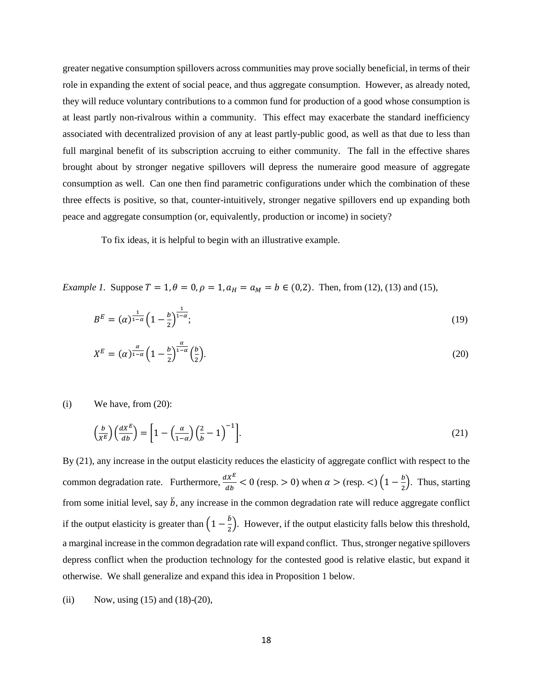greater negative consumption spillovers across communities may prove socially beneficial, in terms of their role in expanding the extent of social peace, and thus aggregate consumption. However, as already noted, they will reduce voluntary contributions to a common fund for production of a good whose consumption is at least partly non-rivalrous within a community. This effect may exacerbate the standard inefficiency associated with decentralized provision of any at least partly-public good, as well as that due to less than full marginal benefit of its subscription accruing to either community. The fall in the effective shares brought about by stronger negative spillovers will depress the numeraire good measure of aggregate consumption as well. Can one then find parametric configurations under which the combination of these three effects is positive, so that, counter-intuitively, stronger negative spillovers end up expanding both peace and aggregate consumption (or, equivalently, production or income) in society?

To fix ideas, it is helpful to begin with an illustrative example.

*Example 1.* Suppose  $T = 1$ ,  $\theta = 0$ ,  $\rho = 1$ ,  $a_H = a_M = b \in (0,2)$ . Then, from (12), (13) and (15),

$$
B^{E} = (\alpha)^{\frac{1}{1-\alpha}} \left(1 - \frac{b}{2}\right)^{\frac{1}{1-\alpha}}; \tag{19}
$$

$$
X^{E} = (\alpha)^{\frac{\alpha}{1-\alpha}} \left(1 - \frac{b}{2}\right)^{\frac{\alpha}{1-\alpha}} \left(\frac{b}{2}\right).
$$
\n<sup>(20)</sup>

 $(i)$  We have, from  $(20)$ :

$$
\left(\frac{b}{X^E}\right)\left(\frac{dX^E}{db}\right) = \left[1 - \left(\frac{\alpha}{1-\alpha}\right)\left(\frac{2}{b} - 1\right)^{-1}\right].\tag{21}
$$

By (21), any increase in the output elasticity reduces the elasticity of aggregate conflict with respect to the common degradation rate. Furthermore,  $\frac{dX^E}{db} < 0$  (resp. > 0) when  $\alpha$  > (resp. <)  $\left(1 - \frac{b}{2}\right)$  $\frac{p}{2}$ ). Thus, starting from some initial level, say  $\ddot{b}$ , any increase in the common degradation rate will reduce aggregate conflict if the output elasticity is greater than  $\left(1-\frac{b}{a}\right)$  $\frac{1}{2}$ ). However, if the output elasticity falls below this threshold, a marginal increase in the common degradation rate will expand conflict. Thus, stronger negative spillovers depress conflict when the production technology for the contested good is relative elastic, but expand it otherwise. We shall generalize and expand this idea in Proposition 1 below.

(ii) Now, using 
$$
(15)
$$
 and  $(18)-(20)$ ,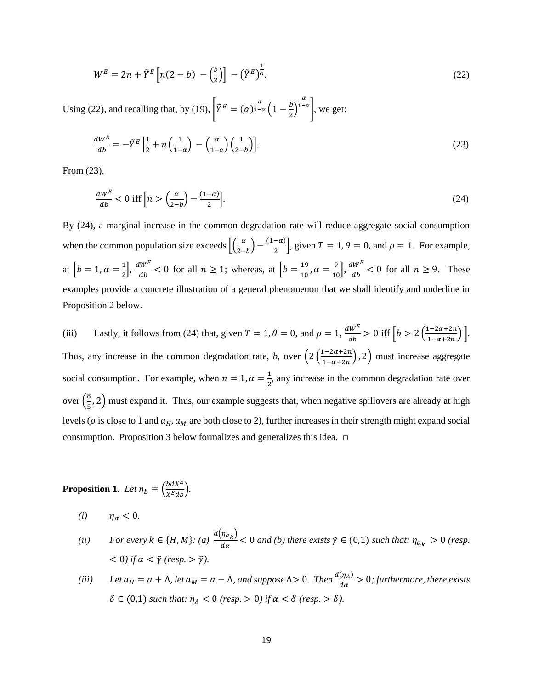$$
W^{E} = 2n + \tilde{Y}^{E} \left[ n(2-b) - \left(\frac{b}{2}\right) \right] - \left(\tilde{Y}^{E}\right)^{\frac{1}{\alpha}}.
$$
\n(22)

Using (22), and recalling that, by (19),  $\left| \tilde{Y}^E \right| = (\alpha)^{\frac{\alpha}{1-\alpha}} \left( 1 - \frac{b}{\alpha} \right)$  $\frac{1}{2}$  $\alpha$  $\vert^{1-\alpha}\vert$ , we get:

$$
\frac{dW^E}{db} = -\tilde{Y}^E \left[ \frac{1}{2} + n \left( \frac{1}{1-\alpha} \right) - \left( \frac{\alpha}{1-\alpha} \right) \left( \frac{1}{2-b} \right) \right].
$$
\n(23)

From (23),

$$
\frac{dW^E}{db} < 0 \text{ iff } \left[ n > \left( \frac{\alpha}{2-b} \right) - \frac{(1-\alpha)}{2} \right]. \tag{24}
$$

By (24), a marginal increase in the common degradation rate will reduce aggregate social consumption when the common population size exceeds  $\left[\frac{a}{2}\right]$  $\frac{\alpha}{2-b}$  –  $\frac{(1-\alpha)}{2}$  $\left(\frac{-a}{2}\right)$ , given  $T = 1$ ,  $\theta = 0$ , and  $\rho = 1$ . For example, at  $\left[ b=1, \alpha=\frac{1}{2} \right]$  $\left(\frac{1}{2}\right), \frac{dW^E}{db}$  $\frac{100}{b}$  < 0 for all  $n \ge 1$ ; whereas, at  $\left[b = \frac{19}{10}\right]$  $\frac{19}{10}$ ,  $\alpha = \frac{9}{10}$ ,  $\frac{dW^E}{db}$  $\frac{w}{db}$  < 0 for all  $n \ge 9$ . These examples provide a concrete illustration of a general phenomenon that we shall identify and underline in Proposition 2 below.

(iii) Lastly, it follows from (24) that, given  $T = 1$ ,  $\theta = 0$ , and  $\rho = 1$ ,  $\frac{dW^E}{dt}$  $\frac{dw^E}{db} > 0$  iff  $\left[b > 2\left(\frac{1-2\alpha+2n}{1-\alpha+2n}\right)\right]$  $\frac{1-2a+2n}{1-a+2n}\bigg].$ Thus, any increase in the common degradation rate, *b*, over  $\left(2\left(\frac{1-2\alpha+2n}{1-\alpha+2n}\right)\right)$  $\left(\frac{1-2a+2n}{1-\alpha+2n}\right)$ , 2) must increase aggregate social consumption. For example, when  $n = 1, \alpha = \frac{1}{2}$  $\frac{1}{2}$ , any increase in the common degradation rate over over  $\left(\frac{8}{5}\right)$  $\frac{6}{5}$ , 2) must expand it. Thus, our example suggests that, when negative spillovers are already at high levels ( $\rho$  is close to 1 and  $a_H$ ,  $a_M$  are both close to 2), further increases in their strength might expand social consumption. Proposition 3 below formalizes and generalizes this idea.  $\square$ 

**Proposition 1.** *Let*  $\eta_b \equiv \left(\frac{bdX^E}{X^Edb}\right)$ *.* 

 $(i)$   $\eta_{\alpha} < 0$ .

- *(ii) For every k*  $\in$  {*H*, *M*}: *(a)*  $\frac{d(\eta_{a_k})}{dx}$  $\frac{\partial u_{k}}{\partial a}$  < 0 *and (b) there exists*  $\check{\gamma} \in (0,1)$  *such that:*  $\eta_{a_k} > 0$  *(resp.*)  $<$  0) if  $\alpha$  <  $\bar{\gamma}$  (resp. >  $\bar{\gamma}$ ).
- (*iii*) *Let*  $a_H = a + \Delta$ *, let*  $a_M = a \Delta$ *, and suppose*  $\Delta > 0$ *. Then*  $\frac{d(\eta_A)}{da} > 0$ *; furthermore, there exists*  $\delta \in (0,1)$  *such that:*  $\eta_{\Delta} < 0$  (resp. > 0) if  $\alpha < \delta$  (resp. >  $\delta$ ).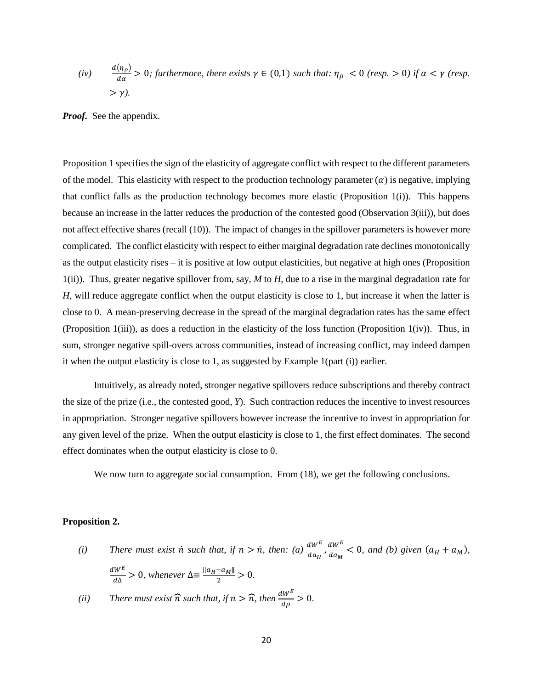(*iv*) 
$$
\frac{d(\eta_{\rho})}{d\alpha} > 0;
$$
 furthermore, there exists  $\gamma \in (0,1)$  such that:  $\eta_{\rho} < 0$  (resp.  $> 0$ ) if  $\alpha < \gamma$  (resp.  $> \gamma$ ).

*Proof.* See the appendix.

Proposition 1 specifies the sign of the elasticity of aggregate conflict with respect to the different parameters of the model. This elasticity with respect to the production technology parameter  $(\alpha)$  is negative, implying that conflict falls as the production technology becomes more elastic (Proposition 1(i)). This happens because an increase in the latter reduces the production of the contested good (Observation 3(iii)), but does not affect effective shares (recall (10)). The impact of changes in the spillover parameters is however more complicated. The conflict elasticity with respect to either marginal degradation rate declines monotonically as the output elasticity rises – it is positive at low output elasticities, but negative at high ones (Proposition 1(ii)). Thus, greater negative spillover from, say, *M* to *H*, due to a rise in the marginal degradation rate for *H*, will reduce aggregate conflict when the output elasticity is close to 1, but increase it when the latter is close to 0. A mean-preserving decrease in the spread of the marginal degradation rates has the same effect (Proposition 1(iii)), as does a reduction in the elasticity of the loss function (Proposition 1(iv)). Thus, in sum, stronger negative spill-overs across communities, instead of increasing conflict, may indeed dampen it when the output elasticity is close to 1, as suggested by Example 1(part (i)) earlier.

Intuitively, as already noted, stronger negative spillovers reduce subscriptions and thereby contract the size of the prize (i.e., the contested good, *Y*). Such contraction reduces the incentive to invest resources in appropriation. Stronger negative spillovers however increase the incentive to invest in appropriation for any given level of the prize. When the output elasticity is close to 1, the first effect dominates. The second effect dominates when the output elasticity is close to 0.

We now turn to aggregate social consumption. From (18), we get the following conclusions.

#### **Proposition 2.**

(*i*) *There must exist*  $\dot{n}$  *such that, if*  $n > \dot{n}$ *, then: (<i>a*)  $\frac{dW^E}{da_H}$ ,  $\frac{dW^E}{da_M}$  $\frac{dw}{da_M}$  < 0, and (b) given  $(a_H + a_M)$ ,  $dW^E$  $rac{W^E}{d\Delta}$  > 0, whenever  $\Delta \equiv \frac{||a_H - a_M||}{2}$  $\frac{-u_{MII}}{2} > 0.$ (*ii*) *There must exist*  $\hat{\pi}$  *such that, if*  $n > \hat{\pi}$ *, then*  $\frac{dW^E}{d\rho} > 0$ *.*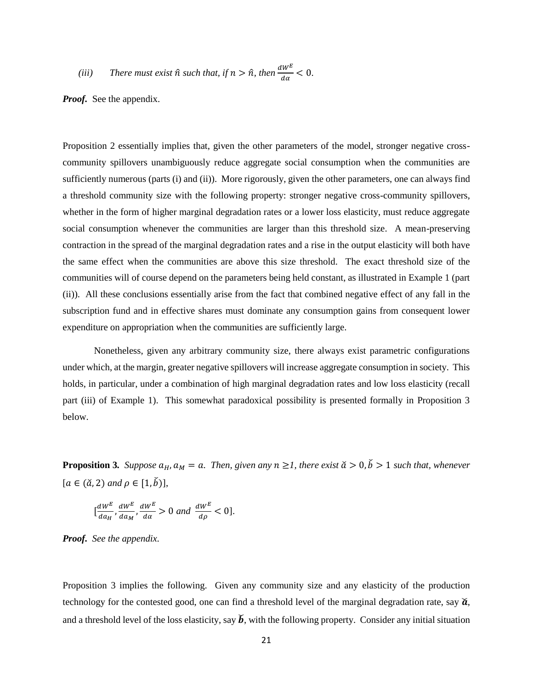(iii) There must exist 
$$
\hat{n}
$$
 such that, if  $n > \hat{n}$ , then  $\frac{dW^E}{d\alpha} < 0$ .

*Proof.* See the appendix.

Proposition 2 essentially implies that, given the other parameters of the model, stronger negative crosscommunity spillovers unambiguously reduce aggregate social consumption when the communities are sufficiently numerous (parts (i) and (ii)). More rigorously, given the other parameters, one can always find a threshold community size with the following property: stronger negative cross-community spillovers, whether in the form of higher marginal degradation rates or a lower loss elasticity, must reduce aggregate social consumption whenever the communities are larger than this threshold size. A mean-preserving contraction in the spread of the marginal degradation rates and a rise in the output elasticity will both have the same effect when the communities are above this size threshold. The exact threshold size of the communities will of course depend on the parameters being held constant, as illustrated in Example 1 (part (ii)). All these conclusions essentially arise from the fact that combined negative effect of any fall in the subscription fund and in effective shares must dominate any consumption gains from consequent lower expenditure on appropriation when the communities are sufficiently large.

Nonetheless, given any arbitrary community size, there always exist parametric configurations under which, at the margin, greater negative spillovers will increase aggregate consumption in society. This holds, in particular, under a combination of high marginal degradation rates and low loss elasticity (recall part (iii) of Example 1). This somewhat paradoxical possibility is presented formally in Proposition 3 below.

**Proposition 3.** Suppose  $a_H$ ,  $a_M = a$ . Then, given any  $n \geq 1$ , there exist  $\check{a} > 0$ ,  $\check{b} > 1$  such that, whenever  $[a \in (\check{\alpha}, 2) \text{ and } \rho \in [1, \check{b})],$ 

$$
[\frac{dW^E}{da_H}, \frac{dW^E}{da_M}, \frac{dW^E}{d\alpha} > 0 \text{ and } \frac{dW^E}{d\rho} < 0].
$$

*Proof. See the appendix.*

Proposition 3 implies the following. Given any community size and any elasticity of the production technology for the contested good, one can find a threshold level of the marginal degradation rate, say  $\check{a}$ , and a threshold level of the loss elasticity, say  $\tilde{b}$ , with the following property. Consider any initial situation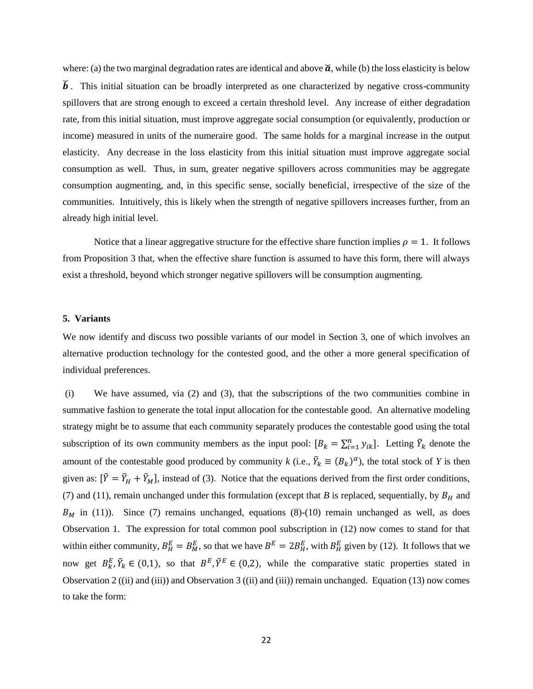where: (a) the two marginal degradation rates are identical and above  $\check{a}$ , while (b) the loss elasticity is below  $\check{b}$ . This initial situation can be broadly interpreted as one characterized by negative cross-community spillovers that are strong enough to exceed a certain threshold level. Any increase of either degradation rate, from this initial situation, must improve aggregate social consumption (or equivalently, production or income) measured in units of the numeraire good. The same holds for a marginal increase in the output elasticity. Any decrease in the loss elasticity from this initial situation must improve aggregate social consumption as well. Thus, in sum, greater negative spillovers across communities may be aggregate consumption augmenting, and, in this specific sense, socially beneficial, irrespective of the size of the communities. Intuitively, this is likely when the strength of negative spillovers increases further, from an already high initial level.

Notice that a linear aggregative structure for the effective share function implies  $\rho = 1$ . It follows from Proposition 3 that, when the effective share function is assumed to have this form, there will always exist a threshold, beyond which stronger negative spillovers will be consumption augmenting.

#### **5. Variants**

We now identify and discuss two possible variants of our model in Section 3, one of which involves an alternative production technology for the contested good, and the other a more general specification of individual preferences.

(i) We have assumed, via (2) and (3), that the subscriptions of the two communities combine in summative fashion to generate the total input allocation for the contestable good. An alternative modeling strategy might be to assume that each community separately produces the contestable good using the total subscription of its own community members as the input pool:  $[B_k = \sum_{i=1}^n y_{ik}]$ . Letting  $\tilde{Y}_k$  denote the amount of the contestable good produced by community *k* (i.e.,  $\tilde{Y}_k \equiv (B_k)^{\alpha}$ ), the total stock of *Y* is then given as:  $[\tilde{Y} = \tilde{Y}_H + \tilde{Y}_M]$ , instead of (3). Notice that the equations derived from the first order conditions, (7) and (11), remain unchanged under this formulation (except that *B* is replaced, sequentially, by  $B_H$  and  $B_M$  in (11)). Since (7) remains unchanged, equations (8)-(10) remain unchanged as well, as does Observation 1. The expression for total common pool subscription in (12) now comes to stand for that within either community,  $B_H^E = B_M^E$ , so that we have  $B^E = 2B_H^E$ , with  $B_H^E$  given by (12). It follows that we now get  $B_k^E$ ,  $\tilde{Y}_k \in (0,1)$ , so that  $B^E$ ,  $\tilde{Y}^E \in (0,2)$ , while the comparative static properties stated in Observation 2 ((ii) and (iii)) and Observation 3 ((ii) and (iii)) remain unchanged. Equation (13) now comes to take the form: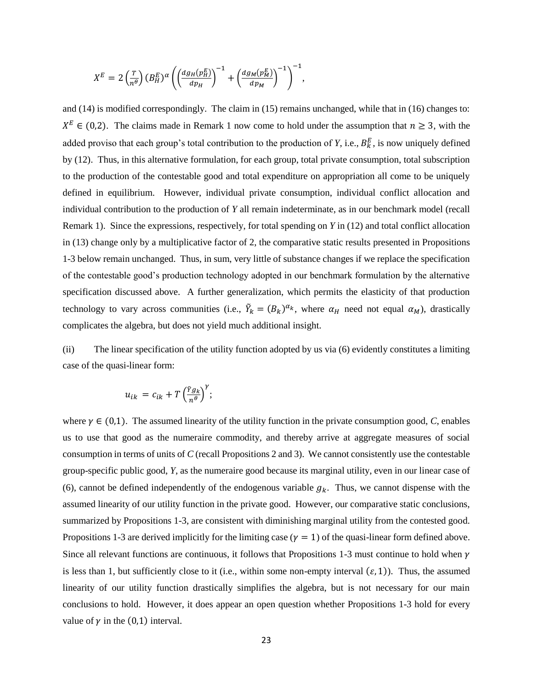$$
X^{E} = 2\left(\frac{r}{n^{\theta}}\right)(B_{H}^{E})^{\alpha}\left(\left(\frac{dg_{H}(p_{H}^{E})}{dp_{H}}\right)^{-1} + \left(\frac{dg_{M}(p_{M}^{E})}{dp_{M}}\right)^{-1}\right)^{-1},
$$

and (14) is modified correspondingly. The claim in (15) remains unchanged, while that in (16) changes to:  $X^E \in (0,2)$ . The claims made in Remark 1 now come to hold under the assumption that  $n \ge 3$ , with the added proviso that each group's total contribution to the production of *Y*, i.e.,  $B_k^E$ , is now uniquely defined by (12). Thus, in this alternative formulation, for each group, total private consumption, total subscription to the production of the contestable good and total expenditure on appropriation all come to be uniquely defined in equilibrium. However, individual private consumption, individual conflict allocation and individual contribution to the production of *Y* all remain indeterminate, as in our benchmark model (recall Remark 1). Since the expressions, respectively, for total spending on *Y* in (12) and total conflict allocation in (13) change only by a multiplicative factor of 2, the comparative static results presented in Propositions 1-3 below remain unchanged. Thus, in sum, very little of substance changes if we replace the specification of the contestable good's production technology adopted in our benchmark formulation by the alternative specification discussed above. A further generalization, which permits the elasticity of that production technology to vary across communities (i.e.,  $\tilde{Y}_k = (B_k)^{\alpha_k}$ , where  $\alpha_H$  need not equal  $\alpha_M$ ), drastically complicates the algebra, but does not yield much additional insight.

(ii) The linear specification of the utility function adopted by us via (6) evidently constitutes a limiting case of the quasi-linear form:

$$
u_{ik} = c_{ik} + T \left(\frac{\tilde{Y}g_k}{n^{\theta}}\right)^{\gamma};
$$

where  $\gamma \in (0,1)$ . The assumed linearity of the utility function in the private consumption good, *C*, enables us to use that good as the numeraire commodity, and thereby arrive at aggregate measures of social consumption in terms of units of *C* (recall Propositions 2 and 3). We cannot consistently use the contestable group-specific public good, *Y*, as the numeraire good because its marginal utility, even in our linear case of (6), cannot be defined independently of the endogenous variable  $g_k$ . Thus, we cannot dispense with the assumed linearity of our utility function in the private good. However, our comparative static conclusions, summarized by Propositions 1-3, are consistent with diminishing marginal utility from the contested good. Propositions 1-3 are derived implicitly for the limiting case ( $\gamma = 1$ ) of the quasi-linear form defined above. Since all relevant functions are continuous, it follows that Propositions 1-3 must continue to hold when  $\gamma$ is less than 1, but sufficiently close to it (i.e., within some non-empty interval  $(\varepsilon, 1)$ ). Thus, the assumed linearity of our utility function drastically simplifies the algebra, but is not necessary for our main conclusions to hold. However, it does appear an open question whether Propositions 1-3 hold for every value of  $\gamma$  in the (0,1) interval.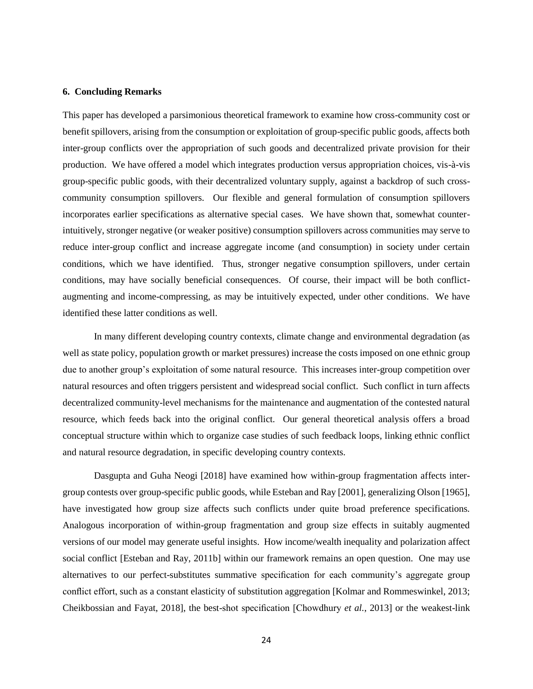#### **6. Concluding Remarks**

This paper has developed a parsimonious theoretical framework to examine how cross-community cost or benefit spillovers, arising from the consumption or exploitation of group-specific public goods, affects both inter-group conflicts over the appropriation of such goods and decentralized private provision for their production. We have offered a model which integrates production versus appropriation choices, vis-à-vis group-specific public goods, with their decentralized voluntary supply, against a backdrop of such crosscommunity consumption spillovers. Our flexible and general formulation of consumption spillovers incorporates earlier specifications as alternative special cases. We have shown that, somewhat counterintuitively, stronger negative (or weaker positive) consumption spillovers across communities may serve to reduce inter-group conflict and increase aggregate income (and consumption) in society under certain conditions, which we have identified. Thus, stronger negative consumption spillovers, under certain conditions, may have socially beneficial consequences. Of course, their impact will be both conflictaugmenting and income-compressing, as may be intuitively expected, under other conditions. We have identified these latter conditions as well.

In many different developing country contexts, climate change and environmental degradation (as well as state policy, population growth or market pressures) increase the costs imposed on one ethnic group due to another group's exploitation of some natural resource. This increases inter-group competition over natural resources and often triggers persistent and widespread social conflict. Such conflict in turn affects decentralized community-level mechanisms for the maintenance and augmentation of the contested natural resource, which feeds back into the original conflict. Our general theoretical analysis offers a broad conceptual structure within which to organize case studies of such feedback loops, linking ethnic conflict and natural resource degradation, in specific developing country contexts.

Dasgupta and Guha Neogi [2018] have examined how within-group fragmentation affects intergroup contests over group-specific public goods, while Esteban and Ray [2001], generalizing Olson [1965], have investigated how group size affects such conflicts under quite broad preference specifications. Analogous incorporation of within-group fragmentation and group size effects in suitably augmented versions of our model may generate useful insights. How income/wealth inequality and polarization affect social conflict [Esteban and Ray, 2011b] within our framework remains an open question. One may use alternatives to our perfect-substitutes summative specification for each community's aggregate group conflict effort, such as a constant elasticity of substitution aggregation [Kolmar and Rommeswinkel, 2013; Cheikbossian and Fayat, 2018], the best-shot specification [Chowdhury *et al.*, 2013] or the weakest-link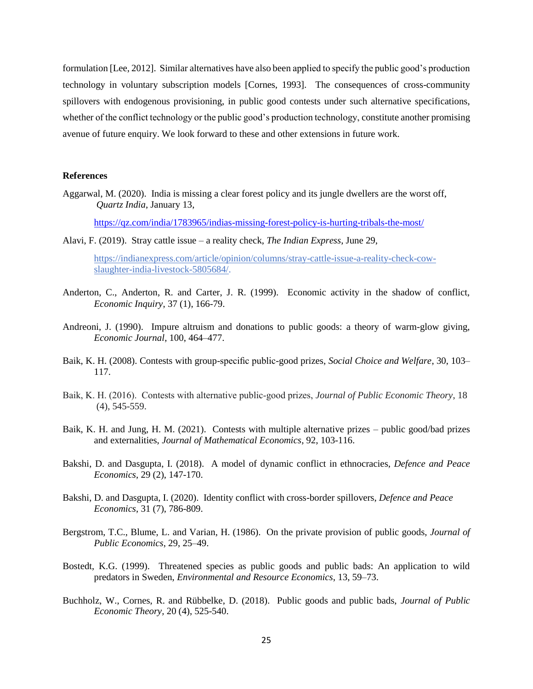formulation [Lee, 2012]. Similar alternatives have also been applied to specify the public good's production technology in voluntary subscription models [Cornes, 1993]. The consequences of cross-community spillovers with endogenous provisioning, in public good contests under such alternative specifications, whether of the conflict technology or the public good's production technology, constitute another promising avenue of future enquiry. We look forward to these and other extensions in future work.

#### **References**

Aggarwal, M. (2020). India is missing a clear forest policy and its jungle dwellers are the worst off, *Quartz India*, January 13,

<https://qz.com/india/1783965/indias-missing-forest-policy-is-hurting-tribals-the-most/>

Alavi, F. (2019). Stray cattle issue – a reality check, *The Indian Express*, June 29,

[https://indianexpress.com/article/opinion/columns/stray-cattle-issue-a-reality-check-cow](https://indianexpress.com/article/opinion/columns/stray-cattle-issue-a-reality-check-cow-slaughter-india-livestock-5805684/)[slaughter-india-livestock-5805684/.](https://indianexpress.com/article/opinion/columns/stray-cattle-issue-a-reality-check-cow-slaughter-india-livestock-5805684/)

- Anderton, C., Anderton, R. and Carter, J. R. (1999). Economic activity in the shadow of conflict, *Economic Inquiry*, 37 (1), 166-79.
- Andreoni, J. (1990). Impure altruism and donations to public goods: a theory of warm-glow giving, *Economic Journal*, 100, 464–477.
- Baik, K. H. (2008). Contests with group-specific public-good prizes, *Social Choice and Welfare*, 30, 103– 117.
- Baik, K. H. (2016). Contests with alternative public‐good prizes, *Journal of Public Economic Theory*, 18 (4), 545-559.
- Baik, K. H. and Jung, H. M. (2021). Contests with multiple alternative prizes public good/bad prizes and externalities, *Journal of Mathematical Economics*, 92, 103-116.
- Bakshi, D. and Dasgupta, I. (2018). A model of dynamic conflict in ethnocracies, *Defence and Peace Economics*, 29 (2), 147-170.
- Bakshi, D. and Dasgupta, I. (2020). Identity conflict with cross-border spillovers, *Defence and Peace Economics*, 31 (7), 786-809.
- Bergstrom, T.C., Blume, L. and Varian, H. (1986). On the private provision of public goods, *Journal of Public Economics*, 29, 25–49.
- Bostedt, K.G. (1999). Threatened species as public goods and public bads: An application to wild predators in Sweden, *Environmental and Resource Economics*, 13, 59–73.
- Buchholz, W., Cornes, R. and Rübbelke, D. (2018). Public goods and public bads, *Journal of Public Economic Theory,* 20 (4), 525-540.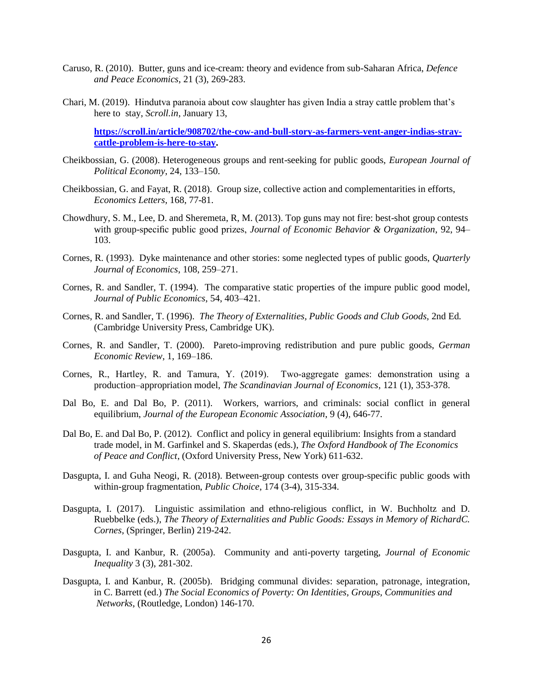- Caruso, R. (2010). Butter, guns and ice-cream: theory and evidence from sub-Saharan Africa, *Defence and Peace Economics*, 21 (3), 269-283.
- Chari, M. (2019). Hindutva paranoia about cow slaughter has given India a stray cattle problem that's here to stay, *Scroll.in*, January 13,

**[https://scroll.in/article/908702/the-cow-and-bull-story-as-farmers-vent-anger-indias-stray](https://scroll.in/article/908702/the-cow-and-bull-story-as-farmers-vent-anger-indias-stray-cattle-problem-is-here-to-stay)[cattle-problem-is-here-to-stay.](https://scroll.in/article/908702/the-cow-and-bull-story-as-farmers-vent-anger-indias-stray-cattle-problem-is-here-to-stay)** 

- Cheikbossian, G. (2008). Heterogeneous groups and rent-seeking for public goods, *European Journal of Political Economy*, 24, 133–150.
- Cheikbossian, G. and Fayat, R. (2018). Group size, collective action and complementarities in efforts, *Economics Letters*, 168, 77-81.
- Chowdhury, S. M., Lee, D. and Sheremeta, R, M. (2013). Top guns may not fire: best-shot group contests with group-specific public good prizes, *Journal of Economic Behavior & Organization*, 92, 94– 103.
- Cornes, R. (1993). Dyke maintenance and other stories: some neglected types of public goods, *Quarterly Journal of Economics*, 108, 259–271.
- Cornes, R. and Sandler, T. (1994). The comparative static properties of the impure public good model, *Journal of Public Economics*, 54, 403–421.
- Cornes, R. and Sandler, T. (1996). *The Theory of Externalities, Public Goods and Club Goods,* 2nd Ed*.* (Cambridge University Press, Cambridge UK).
- Cornes, R. and Sandler, T. (2000). Pareto-improving redistribution and pure public goods, *German Economic Review*, 1, 169–186.
- Cornes, R., Hartley, R. and Tamura, Y. (2019). Two-aggregate games: demonstration using a production–appropriation model, *The Scandinavian Journal of Economics*, 121 (1), 353-378.
- Dal Bo, E. and Dal Bo, P. (2011). Workers, warriors, and criminals: social conflict in general equilibrium, *Journal of the European Economic Association*, 9 (4), 646-77.
- Dal Bo, E. and Dal Bo, P. (2012). Conflict and policy in general equilibrium: Insights from a standard trade model, in M. Garfinkel and S. Skaperdas (eds.), *The Oxford Handbook of The Economics of Peace and Conflict*, (Oxford University Press, New York) 611-632.
- Dasgupta, I. and Guha Neogi, R. (2018). Between-group contests over group-specific public goods with within-group fragmentation, *Public Choice*, 174 (3-4), 315-334.
- Dasgupta, I. (2017). Linguistic assimilation and ethno-religious conflict, in W. Buchholtz and D. Ruebbelke (eds.), *The Theory of Externalities and Public Goods: Essays in Memory of RichardC. Cornes*, (Springer, Berlin) 219-242.
- Dasgupta, I. and Kanbur, R. (2005a). Community and anti-poverty targeting, *Journal of Economic Inequality* 3 (3), 281-302.
- Dasgupta, I. and Kanbur, R. (2005b). Bridging communal divides: separation, patronage, integration, in C. Barrett (ed.) *The Social Economics of Poverty: On Identities, Groups, Communities and Networks*, (Routledge, London) 146-170.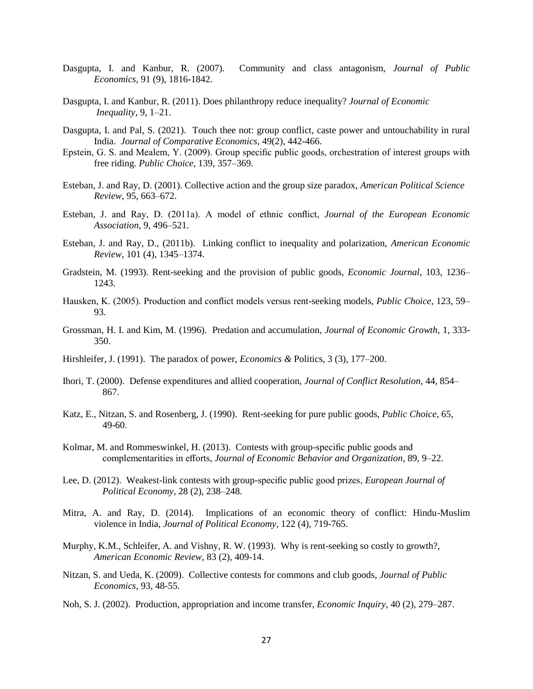- Dasgupta, I. and Kanbur, R. (2007). Community and class antagonism, *Journal of Public Economics*, 91 (9), 1816-1842.
- Dasgupta, I. and Kanbur, R. (2011). Does philanthropy reduce inequality? *Journal of Economic Inequality*, 9, 1–21.
- Dasgupta, I. and Pal, S. (2021). Touch thee not: group conflict, caste power and untouchability in rural India. *Journal of Comparative Economics*, 49(2), 442-466.
- Epstein, G. S. and Mealem, Y. (2009). Group specific public goods, orchestration of interest groups with free riding. *Public Choice*, 139, 357–369.
- Esteban, J. and Ray, D. (2001). Collective action and the group size paradox, *American Political Science Review*, 95, 663–672.
- Esteban, J. and Ray, D. (2011a). A model of ethnic conflict, *Journal of the European Economic Association*, 9, 496–521.
- Esteban, J. and Ray, D., (2011b). Linking conflict to inequality and polarization, *American Economic Review*, 101 (4), 1345–1374.
- Gradstein, M. (1993). Rent-seeking and the provision of public goods, *Economic Journal*, 103, 1236– 1243.
- Hausken, K. (2005). Production and conflict models versus rent-seeking models, *Public Choice*, 123, 59– 93.
- Grossman, H. I. and Kim, M. (1996). Predation and accumulation, *Journal of Economic Growth*, 1, 333- 350.
- Hirshleifer, J. (1991). The paradox of power, *Economics &* Politics, 3 (3), 177–200.
- Ihori, T. (2000). Defense expenditures and allied cooperation, *Journal of Conflict Resolution*, 44, 854– 867.
- Katz, E., Nitzan, S. and Rosenberg, J. (1990). Rent-seeking for pure public goods, *Public Choice*, 65, 49-60.
- Kolmar, M. and Rommeswinkel, H. (2013). Contests with group-specific public goods and complementarities in efforts, *Journal of Economic Behavior and Organization*, 89, 9–22.
- Lee, D. (2012). Weakest-link contests with group-specific public good prizes, *European Journal of Political Economy*, 28 (2), 238–248.
- Mitra, A. and Ray, D. (2014). Implications of an economic theory of conflict: Hindu-Muslim violence in India, *Journal of Political Economy*, 122 (4), 719-765.
- Murphy, K.M., Schleifer, A. and Vishny, R. W. (1993). Why is rent-seeking so costly to growth?, *American Economic Review*, 83 (2), 409-14.
- Nitzan, S. and Ueda, K. (2009). Collective contests for commons and club goods, *Journal of Public Economics*, 93, 48-55.
- Noh, S. J. (2002). Production, appropriation and income transfer, *Economic Inquiry*, 40 (2), 279–287.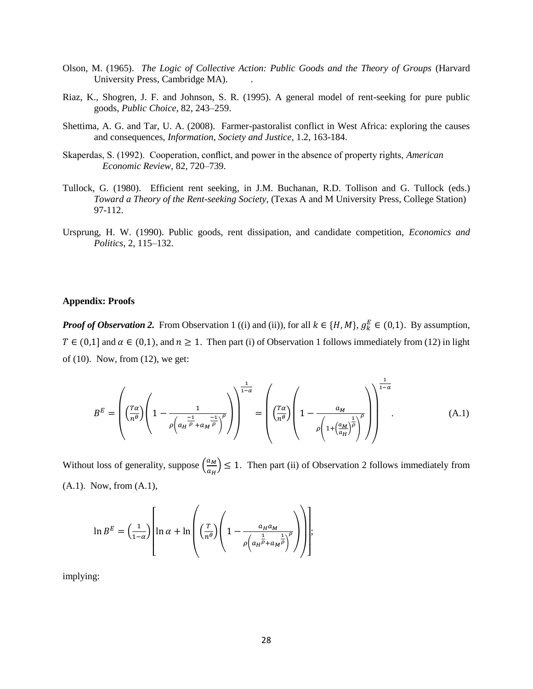- Olson, M. (1965). *The Logic of Collective Action: Public Goods and the Theory of Groups* (Harvard University Press, Cambridge MA). .
- Riaz, K., Shogren, J. F. and Johnson, S. R. (1995). A general model of rent-seeking for pure public goods, *Public Choice*, 82, 243–259.
- Shettima, A. G. and Tar, U. A. (2008). Farmer-pastoralist conflict in West Africa: exploring the causes and consequences, *Information, Society and Justice*, 1.2, 163-184.
- Skaperdas, S. (1992). Cooperation, conflict, and power in the absence of property rights, *American Economic Review*, 82, 720–739.
- Tullock, G. (1980). Efficient rent seeking, in J.M. Buchanan, R.D. Tollison and G. Tullock (eds.) *Toward a Theory of the Rent-seeking Society*, (Texas A and M University Press, College Station) 97-112.
- Ursprung, H. W. (1990). Public goods, rent dissipation, and candidate competition, *Economics and Politics*, 2, 115–132.

#### **Appendix: Proofs**

*Proof of Observation 2.* From Observation 1 ((i) and (ii)), for all  $k \in \{H, M\}$ ,  $g_k^E \in (0,1)$ . By assumption,  $T \in (0,1]$  and  $\alpha \in (0,1)$ , and  $n \ge 1$ . Then part (i) of Observation 1 follows immediately from (12) in light of (10). Now, from (12), we get:

$$
B^{E} = \left( \left( \frac{T\alpha}{n^{\theta}} \right) \left( 1 - \frac{1}{\rho \left( a_{H} \frac{-1}{\rho} + a_{M} \frac{-1}{\rho} \right)^{\rho}} \right) \right)^{\frac{1}{1-\alpha}} = \left( \left( \frac{T\alpha}{n^{\theta}} \right) \left( 1 - \frac{a_{M}}{\rho \left( 1 + \left( \frac{a_{M}}{a_{H}} \right)^{\frac{1}{\rho}} \right)^{\rho}} \right) \right)^{\frac{1}{1-\alpha}}.
$$
(A.1)

Without loss of generality, suppose  $\left(\frac{a_M}{a}\right)$  $\left(\frac{du}{dt}\right) \leq 1$ . Then part (ii) of Observation 2 follows immediately from (A.1). Now, from (A.1),

$$
\ln B^{E} = \left(\frac{1}{1-\alpha}\right) \left[ \ln \alpha + \ln \left( \left(\frac{T}{n^{\theta}}\right) \left(1 - \frac{a_{H}a_{M}}{\rho \left(a_{H} \overrightarrow{\bar{\rho}} + a_{M} \overrightarrow{\bar{\rho}}\right)^{\rho}}\right) \right) \right];
$$

implying: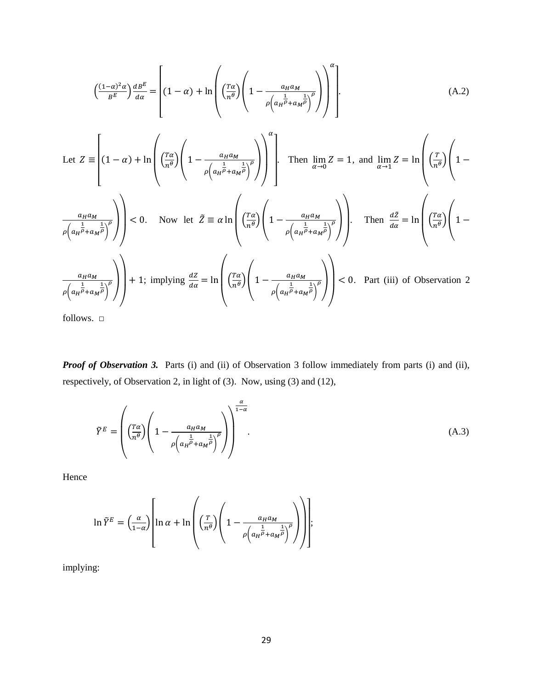$$
\left(\frac{(1-\alpha)^2 \alpha}{B^E}\right) \frac{dB^E}{d\alpha} = \left[ (1-\alpha) + \ln \left( \left(\frac{T\alpha}{n^{\theta}}\right) \left(1 - \frac{a_H a_M}{\rho \left(a_H \bar{b} + a_M \bar{b}\right)^2} \right) \right)^{\alpha} \right].
$$
\n
$$
\text{Let } Z = \left[ (1-\alpha) + \ln \left( \left(\frac{T\alpha}{n^{\theta}}\right) \left(1 - \frac{a_H a_M}{\rho \left(a_H \bar{b} + a_M \bar{b}\right)^2} \right) \right)^{\alpha} \right].
$$
\n
$$
\text{Then } \lim_{\alpha \to 0} Z = 1, \text{ and } \lim_{\alpha \to 1} Z = \ln \left( \left(\frac{T}{n^{\theta}}\right) \left(1 - \frac{a_H a_M}{\rho \left(a_H \bar{b} + a_M \bar{b}\right)^2} \right) \right).
$$
\n
$$
\left. \lim_{\rho \left(a_H \bar{b} + a_M \bar{b}\right)^2} \right) < 0.
$$
\n
$$
\text{Now let } \tilde{Z} \equiv \alpha \ln \left( \left(\frac{T\alpha}{n^{\theta}}\right) \left(1 - \frac{a_H a_M}{\rho \left(a_H \bar{b} + a_M \bar{b}\right)^2} \right) \right).
$$
\n
$$
\text{Then } \frac{dZ}{d\alpha} = \ln \left( \left(\frac{T\alpha}{n^{\theta}}\right) \left(1 - \frac{a_H a_M}{\rho \left(a_H \bar{b} + a_M \bar{b}\right)^2} \right) \right).
$$
\n
$$
\text{Then } \frac{dZ}{d\alpha} = \ln \left( \left(\frac{T\alpha}{n^{\theta}}\right) \left(1 - \frac{a_H a_M}{\rho \left(a_H \bar{b} + a_M \bar{b}\right)^2} \right) \right) < 0.
$$
\n
$$
\text{Part (iii) of Observation 2}
$$

follows.  $\Box$ 

*Proof of Observation 3.* Parts (i) and (ii) of Observation 3 follow immediately from parts (i) and (ii), respectively, of Observation 2, in light of (3). Now, using (3) and (12),

$$
\tilde{Y}^{E} = \left( \left( \frac{T\alpha}{n^{\theta}} \right) \left( 1 - \frac{a_{H} a_{M}}{\rho \left( a_{H} \frac{1}{\rho} + a_{M} \frac{1}{\rho} \right)^{\rho}} \right) \right)^{\frac{\alpha}{1-\alpha}}.
$$
\n(A.3)

Hence

$$
\ln \tilde{Y}^{E} = \left(\frac{\alpha}{1-\alpha}\right) \left[ \ln \alpha + \ln \left( \left(\frac{T}{n^{\theta}}\right) \left(1 - \frac{a_{H}a_{M}}{\rho \left(a_{H} \bar{\vec{P}} + a_{M} \bar{\vec{P}}\right)^{\rho}}\right) \right) \right];
$$

implying: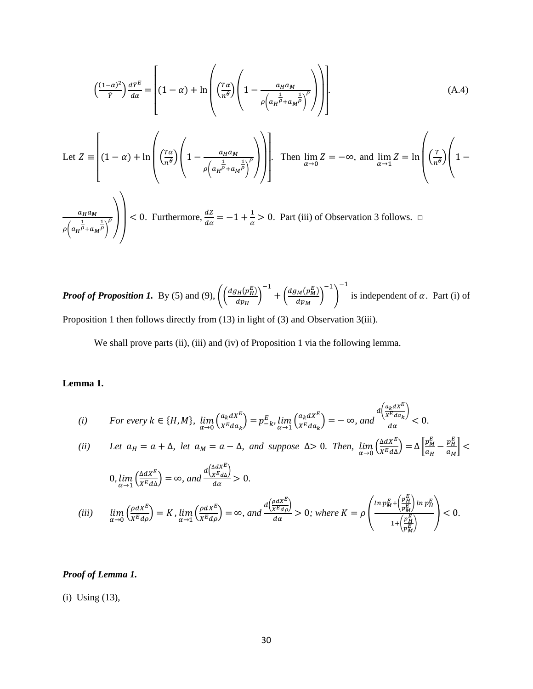$$
\left(\frac{(1-\alpha)^2}{\tilde{r}}\right)\frac{d\tilde{r}^E}{d\alpha} = \left[ (1-\alpha) + \ln\left(\left(\frac{T\alpha}{n\theta}\right)\left(1 - \frac{a_H a_M}{\rho\left(a_H \vec{b} + a_M \vec{b}\right)^{\rho}}\right)\right) \right].
$$
\n
$$
\text{Let } Z \equiv \left[ (1-\alpha) + \ln\left(\left(\frac{T\alpha}{n\theta}\right)\left(1 - \frac{a_H a_M}{\rho\left(a_H \vec{b} + a_M \vec{b}\right)^{\rho}}\right)\right) \right].
$$
\n
$$
\text{Then } \lim_{\alpha \to 0} Z = -\infty, \text{ and } \lim_{\alpha \to 1} Z = \ln\left(\left(\frac{T}{n\theta}\right)\left(1 - \frac{a_H a_M}{\rho\left(a_H \vec{b} + a_M \vec{b}\right)^{\rho}}\right)\right).
$$
\n
$$
\frac{a_H a_M}{\rho\left(a_H \vec{b} + a_M \vec{b}\right)^{\rho}} \right) < 0. \text{ Furthermore, } \frac{dZ}{d\alpha} = -1 + \frac{1}{\alpha} > 0. \text{ Part (iii) of Observation 3 follows. } \square
$$

*Proof of Proposition 1.* By (5) and (9),  $\left(\frac{dg_H(p_H^E)}{dx}\right)$  $\frac{H(VH)}{dp_{H}}\Big)$ −1  $+\left(\frac{dg_M(p_M^E)}{dp}\right)$  $\frac{(M(VM))}{dp_M}$ −1 ) −1 is independent of  $\alpha$ . Part (i) of Proposition 1 then follows directly from (13) in light of (3) and Observation 3(iii).

We shall prove parts (ii), (iii) and (iv) of Proposition 1 via the following lemma.

# **Lemma 1.**

(i) For every 
$$
k \in \{H, M\}
$$
,  $\lim_{\alpha \to 0} \left( \frac{a_k dx^E}{x^E da_k} \right) = p_{-k}^E$ ,  $\lim_{\alpha \to 1} \left( \frac{a_k dx^E}{x^E da_k} \right) = -\infty$ , and  $\frac{d \left( \frac{a_k dx^E}{x^E da_k} \right)}{da} < 0$ .

(ii) Let 
$$
a_H = a + \Delta
$$
, let  $a_M = a - \Delta$ , and suppose  $\Delta > 0$ . Then,  $\lim_{\alpha \to 0} \left( \frac{\Delta d X^E}{X^E d\Delta} \right) = \Delta \left[ \frac{p_M^E}{a_H} - \frac{p_H^E}{a_M} \right] <$ 

$$
0, \lim_{\alpha \to 1} \left( \frac{\Delta d X^E}{X^E d\Delta} \right) = \infty, \ and \ \frac{d \left( \frac{\Delta d X^E}{X^E d\Delta} \right)}{d\alpha} > 0.
$$

$$
(iii) \quad \lim_{\alpha \to 0} \left( \frac{\rho dX^E}{X^E d\rho} \right) = K \lim_{\alpha \to 1} \left( \frac{\rho dX^E}{X^E d\rho} \right) = \infty, \text{ and } \frac{d \left( \frac{\rho dX^E}{X^E d\rho} \right)}{d\alpha} > 0; \text{ where } K = \rho \left( \frac{\ln p_M^E + \left( \frac{p_H^E}{p_M^E} \right) \ln p_H^E}{1 + \left( \frac{p_H^E}{p_M^E} \right)} \right) < 0.
$$

## *Proof of Lemma 1.*

(i) Using (13),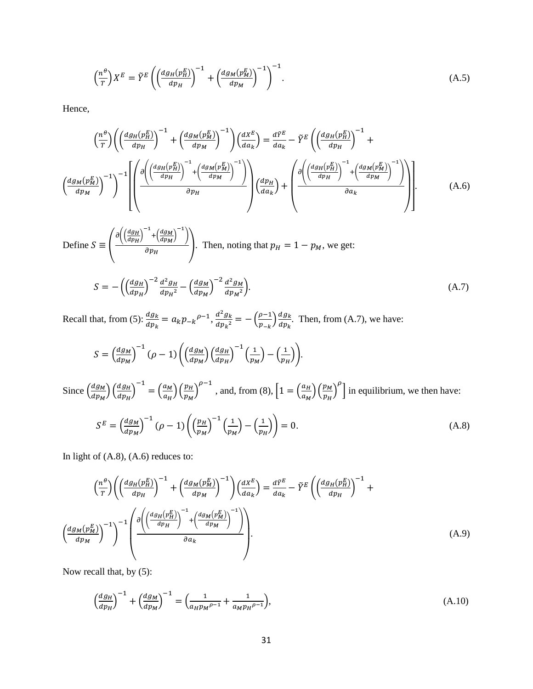$$
\left(\frac{n^{\theta}}{T}\right)X^{E} = \tilde{Y}^{E}\left(\left(\frac{dg_{H}(p_{H}^{E})}{dp_{H}}\right)^{-1} + \left(\frac{dg_{M}(p_{M}^{E})}{dp_{M}}\right)^{-1}\right)^{-1}.
$$
\n(A.5)

Hence,

$$
\left(\frac{n^{\theta}}{\tau}\right) \left(\left(\frac{dg_H(p_H^E)}{dp_H}\right)^{-1} + \left(\frac{dg_M(p_M^E)}{dp_M}\right)^{-1}\right) \left(\frac{dX^E}{da_k}\right) = \frac{dY^E}{da_k} - \tilde{Y}^E \left(\left(\frac{dg_H(p_H^E)}{dp_H}\right)^{-1} + \left(\frac{dg_M(p_H^E)}{dp_H}\right)^{-1}\right)
$$
\n
$$
\left(\frac{dg_M(p_M^E)}{dp_M}\right)^{-1} \left[\left(\frac{\partial \left(\left(\frac{dg_H(p_H^E)}{dp_H}\right)^{-1} + \left(\frac{dg_M(p_H^E)}{dp_M}\right)^{-1}\right)}{\partial p_H}\right) \left(\frac{dp_H}{da_k}\right) + \left(\frac{\partial \left(\left(\frac{dg_H(p_H^E)}{dp_H}\right)^{-1} + \left(\frac{dg_M(p_H^E)}{dp_M}\right)^{-1}\right)}{\partial a_k}\right)\right].
$$
\n(A.6)

Define 
$$
S \equiv \left(\frac{\partial \left(\left(\frac{dg_H}{dp_H}\right)^{-1} + \left(\frac{dg_M}{dp_M}\right)^{-1}\right)}{\partial p_H}\right)
$$
. Then, noting that  $p_H = 1 - p_M$ , we get:  
\n
$$
S = -\left(\left(\frac{dg_H}{dp_H}\right)^{-2} \frac{d^2 g_H}{dp_H^2} - \left(\frac{dg_M}{dp_M}\right)^{-2} \frac{d^2 g_M}{dp_M^2}\right).
$$
\n(A.7)

Recall that, from (5):  $\frac{dg_k}{dp_k} = a_k p_{-k}^{\rho-1}, \frac{d^2 g_k}{dp_k^2}$  $rac{d^2 g_k}{d p_k^2} = -\left(\frac{\rho - 1}{p_{-k}}\right)$  $\frac{\rho-1}{p_{-k}}\bigg)\frac{dg_k}{dp_k}$  $\frac{u y_k}{d p_k}$ . Then, from (A.7), we have:

$$
S = \left(\frac{dg_M}{dp_M}\right)^{-1} (\rho - 1) \left( \left(\frac{dg_M}{dp_M}\right) \left(\frac{dg_H}{dp_H}\right)^{-1} \left(\frac{1}{p_M}\right) - \left(\frac{1}{p_H}\right) \right).
$$

Since  $\left(\frac{dg_M}{dx}\right)$  $\frac{dg_M}{dp_M}\Big) \Big( \frac{dg_H}{dp_H}$  $\left(\frac{dg_H}{dp_H}\right)^{-1} = \left(\frac{a_M}{a_H}\right)$  $\frac{a_M}{a_H}\Big) \Big( \frac{p_H}{p_M}$  $\left(\frac{p_H}{p_M}\right)^{\rho-1}$ , and, from (8),  $\left[1 = \left(\frac{a_H}{a_M}\right)\right]$  $\frac{a_H}{a_M}$ )  $\left(\frac{p_M}{p_H}\right)$  $\left(\frac{p_M}{p_H}\right)^{\rho}$  in equilibrium, we then have:

$$
S^{E} = \left(\frac{dg_M}{dp_M}\right)^{-1} \left(\rho - 1\right) \left(\left(\frac{p_H}{p_M}\right)^{-1} \left(\frac{1}{p_M}\right) - \left(\frac{1}{p_H}\right)\right) = 0. \tag{A.8}
$$

In light of  $(A.8)$ ,  $(A.6)$  reduces to:

$$
\left(\frac{n^{\theta}}{T}\right) \left(\left(\frac{dg_H(p_H^E)}{dp_H}\right)^{-1} + \left(\frac{dg_M(p_M^E)}{dp_M}\right)^{-1}\right) \left(\frac{dX^E}{da_k}\right) = \frac{d\tilde{Y}^E}{da_k} - \tilde{Y}^E \left(\left(\frac{dg_H(p_H^E)}{dp_H}\right)^{-1} + \left(\frac{dg_M(p_H^E)}{dp_H}\right)^{-1}\right)
$$
\n
$$
\left(\frac{dg_M(p_M^E)}{dp_M}\right)^{-1}\right)^{-1} \left(\frac{\partial \left(\left(\frac{dg_H(p_H^E)}{dp_H}\right)^{-1} + \left(\frac{dg_M(p_M^E)}{dp_M}\right)^{-1}\right)}{\partial a_k}\right).
$$
\n(A.9)

Now recall that, by (5):

$$
\left(\frac{dg_H}{dp_H}\right)^{-1} + \left(\frac{dg_M}{dp_M}\right)^{-1} = \left(\frac{1}{a_H p_M \rho^{-1}} + \frac{1}{a_M p_H \rho^{-1}}\right),\tag{A.10}
$$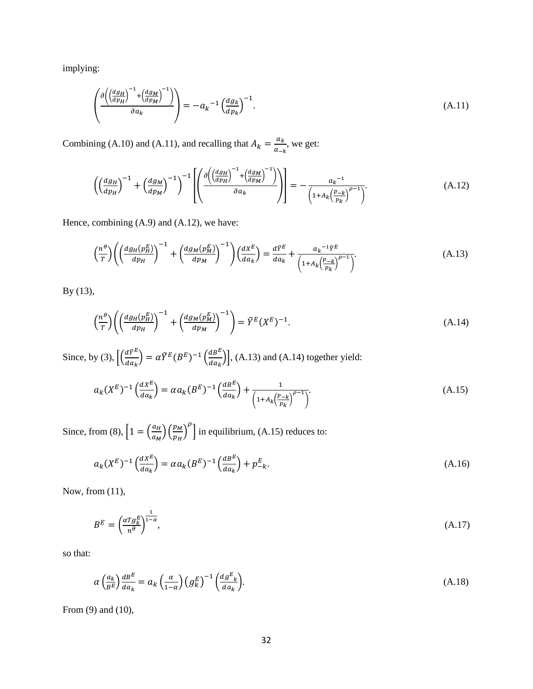implying:

$$
\left(\frac{\partial \left(\left(\frac{dg_H}{dp_H}\right)^{-1} + \left(\frac{dg_M}{dp_M}\right)^{-1}\right)}{\partial a_k}\right) = -a_k^{-1} \left(\frac{dg_k}{dp_k}\right)^{-1}.\tag{A.11}
$$

Combining (A.10) and (A.11), and recalling that  $A_k = \frac{a_k}{a_k}$  $\frac{a_k}{a_{-k}}$ , we get:

$$
\left( \left( \frac{dg_H}{dp_H} \right)^{-1} + \left( \frac{dg_M}{dp_M} \right)^{-1} \right)^{-1} \left[ \left( \frac{\partial \left( \left( \frac{dg_H}{dp_H} \right)^{-1} + \left( \frac{dg_M}{dp_M} \right)^{-1} \right)}{\partial a_K} \right) \right] = -\frac{a_k^{-1}}{\left( 1 + A_k \left( \frac{p-k}{p_k} \right)^{\rho-1} \right)}.
$$
\n(A.12)

Hence, combining (A.9) and (A.12), we have:

$$
\left(\frac{n^{\theta}}{T}\right) \left(\left(\frac{dg_H(p_H^E)}{dp_H}\right)^{-1} + \left(\frac{dg_M(p_M^E)}{dp_M}\right)^{-1}\right) \left(\frac{dX^E}{da_k}\right) = \frac{d\tilde{Y}^E}{da_k} + \frac{a_k^{-1}\tilde{Y}^E}{\left(1 + A_k\left(\frac{p-k}{p_k}\right)^{\rho-1}\right)}.
$$
\n(A.13)

By (13),

$$
\left(\frac{n^{\theta}}{T}\right) \left(\left(\frac{dg_H(p_H^E)}{dp_H}\right)^{-1} + \left(\frac{dg_M(p_M^E)}{dp_M}\right)^{-1}\right) = \tilde{Y}^E(X^E)^{-1}.
$$
\n(A.14)

Since, by (3),  $\left[\left(\frac{d\tilde{Y}^E}{dx}\right)^2\right]$  $\frac{d\tilde{Y}^E}{da_k}$ ) =  $\alpha \tilde{Y}^E (B^E)^{-1} \left( \frac{dB^E}{da_k} \right)$  $\left(\frac{a}{da_k}\right)$ , (A.13) and (A.14) together yield:

$$
a_k(X^E)^{-1} \left(\frac{dX^E}{da_k}\right) = \alpha a_k(B^E)^{-1} \left(\frac{d^{BE}}{da_k}\right) + \frac{1}{\left(1 + A_k\left(\frac{p-k}{p_k}\right)^{\rho-1}\right)}.
$$
\n(A.15)

Since, from (8),  $\left[1 = \left(\frac{a_H}{a}\right)\right]$  $\frac{a_H}{a_M}$ ) $\left(\frac{p_M}{p_H}\right)$  $\left(\frac{p_M}{p_H}\right)^{\rho}$  in equilibrium, (A.15) reduces to:

$$
a_k(X^E)^{-1} \left(\frac{dX^E}{da_k}\right) = \alpha a_k (B^E)^{-1} \left(\frac{d^{B^E}}{da_k}\right) + p_{-k}^E. \tag{A.16}
$$

Now, from (11),

$$
B^{E} = \left(\frac{\alpha T g_{k}^{E}}{n^{\theta}}\right)^{\frac{1}{1-\alpha}},\tag{A.17}
$$

so that:

$$
\alpha \left(\frac{a_k}{B^E}\right) \frac{d^E}{da_k} = a_k \left(\frac{\alpha}{1-\alpha}\right) \left(g_k^E\right)^{-1} \left(\frac{d^E_k}{da_k}\right). \tag{A.18}
$$

From (9) and (10),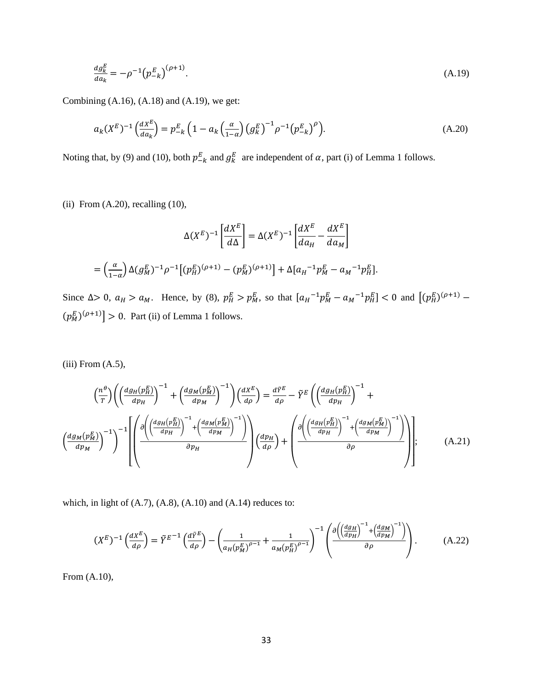$$
\frac{dg_k^E}{da_k} = -\rho^{-1} (p_{-k}^E)^{(\rho+1)}.
$$
\n(A.19)

Combining  $(A.16)$ ,  $(A.18)$  and  $(A.19)$ , we get:

$$
a_k(X^E)^{-1} \left(\frac{dX^E}{da_k}\right) = p_{-k}^E \left(1 - a_k\left(\frac{\alpha}{1-\alpha}\right) \left(g_k^E\right)^{-1} \rho^{-1} \left(p_{-k}^E\right)^{\rho}\right).
$$
 (A.20)

Noting that, by (9) and (10), both  $p_{-k}^E$  and  $g_k^E$  are independent of  $\alpha$ , part (i) of Lemma 1 follows.

(ii) From  $(A.20)$ , recalling  $(10)$ ,

$$
\Delta(X^{E})^{-1} \left[ \frac{dX^{E}}{d\Delta} \right] = \Delta(X^{E})^{-1} \left[ \frac{dX^{E}}{da_{H}} - \frac{dX^{E}}{da_{M}} \right]
$$

$$
= \left( \frac{\alpha}{1-\alpha} \right) \Delta(g_{M}^{E})^{-1} \rho^{-1} \left[ (p_{H}^{E})^{(\rho+1)} - (p_{M}^{E})^{(\rho+1)} \right] + \Delta[a_{H}^{-1} p_{M}^{E} - a_{M}^{-1} p_{H}^{E}].
$$

Since  $\Delta > 0$ ,  $a_H > a_M$ . Hence, by (8),  $p_H^E > p_M^E$ , so that  $[a_H^{-1}p_M^E - a_M^{-1}p_H^E] < 0$  and  $[(p_H^E)^{(\rho+1)} (p_M^E)^{(\rho+1)}$  > 0. Part (ii) of Lemma 1 follows.

 $(iii)$  From  $(A.5)$ ,

$$
\left(\frac{n^{\theta}}{T}\right) \left(\left(\frac{dg_H(p_H^E)}{dp_H}\right)^{-1} + \left(\frac{dg_M(p_M^E)}{dp_M}\right)^{-1}\right) \left(\frac{dX^E}{d\rho}\right) = \frac{d\tilde{Y}^E}{d\rho} - \tilde{Y}^E \left(\left(\frac{dg_H(p_H^E)}{dp_H}\right)^{-1} + \left(\frac{dg_H(p_H^E)}{dp_H}\right)^{-1}\right)
$$
\n
$$
\left(\frac{dg_M(p_M^E)}{dp_M}\right)^{-1}\right)^{-1} \left[\left(\frac{\partial\left(\left(\frac{dg_H(p_H^E)}{dp_H}\right)^{-1} + \left(\frac{dg_M(p_H^E)}{dp_H}\right)^{-1}\right)}{\partial p_H}\right) \left(\frac{dp_H}{d\rho}\right) + \left(\frac{\partial\left(\left(\frac{dg_H(p_H^E)}{dp_H}\right)^{-1} + \left(\frac{dg_M(p_H^E)}{dp_M}\right)^{-1}\right)}{\partial \rho}\right)\right];\tag{A.21}
$$

which, in light of  $(A.7)$ ,  $(A.8)$ ,  $(A.10)$  and  $(A.14)$  reduces to:

$$
(X^{E})^{-1}\left(\frac{dX^{E}}{d\rho}\right) = \tilde{Y}^{E^{-1}}\left(\frac{d\tilde{Y}^{E}}{d\rho}\right) - \left(\frac{1}{a_{H}(p_{M}^{E})^{\rho-1}} + \frac{1}{a_{M}(p_{H}^{E})^{\rho-1}}\right)^{-1}\left(\frac{\partial\left(\left(\frac{dg_{H}}{dp_{H}}\right)^{-1} + \left(\frac{dg_{M}}{dp_{M}}\right)^{-1}\right)}{\partial\rho}\right). \tag{A.22}
$$

From (A.10),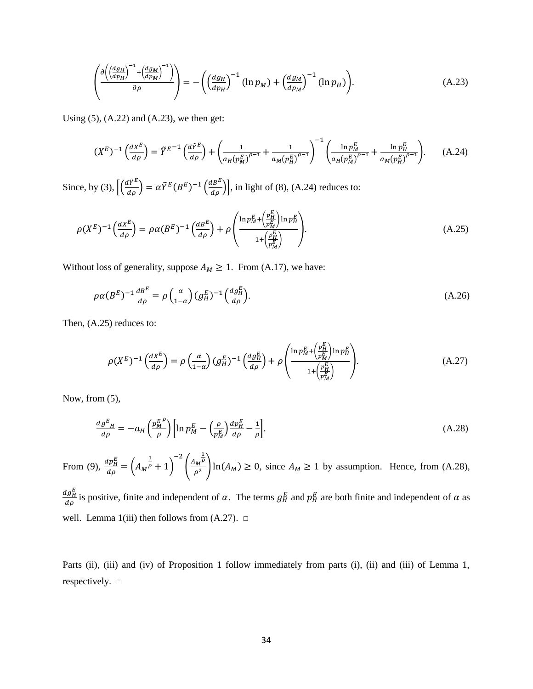$$
\left(\frac{\partial \left(\left(\frac{dg_H}{dp_H}\right)^{-1} + \left(\frac{dg_M}{dp_M}\right)^{-1}\right)}{\partial \rho}\right) = -\left(\left(\frac{dg_H}{dp_H}\right)^{-1} \left(\ln p_M\right) + \left(\frac{dg_M}{dp_M}\right)^{-1} \left(\ln p_H\right)\right). \tag{A.23}
$$

Using  $(5)$ ,  $(A.22)$  and  $(A.23)$ , we then get:

$$
(X^{E})^{-1} \left(\frac{dX^{E}}{d\rho}\right) = \tilde{Y}^{E^{-1}} \left(\frac{d\tilde{Y}^{E}}{d\rho}\right) + \left(\frac{1}{a_{H}(p_{M}^{E})^{\rho-1}} + \frac{1}{a_{M}(p_{H}^{E})^{\rho-1}}\right)^{-1} \left(\frac{\ln p_{M}^{E}}{a_{H}(p_{M}^{E})^{\rho-1}} + \frac{\ln p_{H}^{E}}{a_{M}(p_{H}^{E})^{\rho-1}}\right). \tag{A.24}
$$

Since, by (3),  $\left[ \left( \frac{d\tilde{\gamma}^E}{d\rho} \right) = \alpha \tilde{\gamma}^E (B^E)^{-1} \left( \frac{d^E}{d\rho} \right) \right]$ , in light of (8), (A.24) reduces to:

$$
\rho(X^E)^{-1}\left(\frac{dX^E}{d\rho}\right) = \rho\alpha(B^E)^{-1}\left(\frac{dB^E}{d\rho}\right) + \rho\left(\frac{\ln p_M^E + \left(\frac{p_H^E}{p_M^E}\right)\ln p_H^E}{1 + \left(\frac{p_H^E}{p_M^E}\right)}\right).
$$
\n(A.25)

Without loss of generality, suppose  $A_M \geq 1$ . From (A.17), we have:

$$
\rho \alpha (B^E)^{-1} \frac{d^{2}}{d\rho} = \rho \left(\frac{\alpha}{1-\alpha}\right) (g_H^E)^{-1} \left(\frac{d g_H^E}{d\rho}\right). \tag{A.26}
$$

Then, (A.25) reduces to:

$$
\rho(X^{E})^{-1}\left(\frac{dX^{E}}{d\rho}\right) = \rho\left(\frac{\alpha}{1-\alpha}\right)(g_{H}^{E})^{-1}\left(\frac{dg_{H}^{E}}{d\rho}\right) + \rho\left(\frac{\ln p_{M}^{E} + \left(\frac{p_{H}^{E}}{p_{M}^{E}}\right)\ln p_{H}^{E}}{1 + \left(\frac{p_{H}^{E}}{p_{M}^{E}}\right)}\right).
$$
\n(A.27)

Now, from (5),

$$
\frac{dg^E_H}{d\rho} = -a_H \left(\frac{p_M^E}{\rho}\right) \left[ \ln p_M^E - \left(\frac{\rho}{p_M^E}\right) \frac{dp_H^E}{d\rho} - \frac{1}{\rho} \right].
$$
\n(A.28)

From (9),  $\frac{dp_H^E}{dx}$  $\frac{dp_H^E}{dp} = \left(A_M^{\frac{1}{\rho}} + 1\right)$ −2  $\frac{A_M}{a^2}$  $\left(\frac{1}{2}M\right)^{\frac{1}{p}}\ln(A_M) \ge 0$ , since  $A_M \ge 1$  by assumption. Hence, from (A.28),

 $dg_H^E$  $\frac{dg_H}{d\rho}$  is positive, finite and independent of  $\alpha$ . The terms  $g_H^E$  and  $p_H^E$  are both finite and independent of  $\alpha$  as well. Lemma 1(iii) then follows from  $(A.27)$ .  $\square$ 

Parts (ii), (iii) and (iv) of Proposition 1 follow immediately from parts (i), (ii) and (iii) of Lemma 1, respectively. □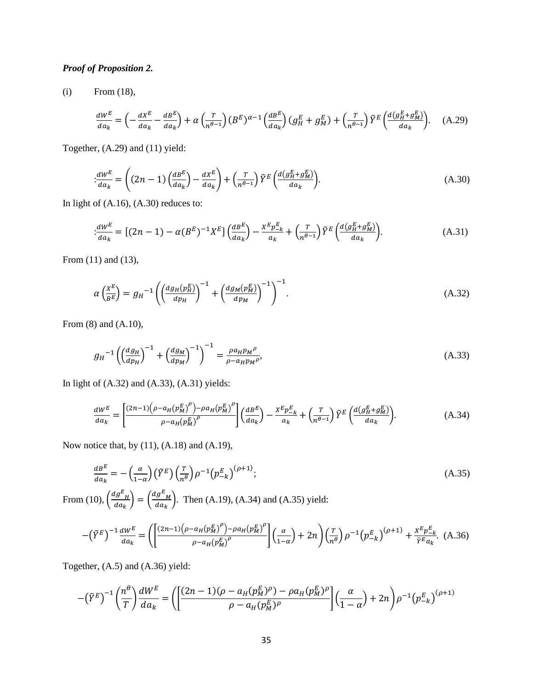## *Proof of Proposition 2.*

(i) From (18),

$$
\frac{dW^E}{da_k} = \left(-\frac{dX^E}{da_k} - \frac{dB^E}{da_k}\right) + \alpha \left(\frac{T}{n^{\theta-1}}\right) (B^E)^{\alpha-1} \left(\frac{dB^E}{da_k}\right) (g_H^E + g_M^E) + \left(\frac{T}{n^{\theta-1}}\right) \tilde{Y}^E \left(\frac{d(g_H^E + g_M^E)}{da_k}\right). \tag{A.29}
$$

Together, (A.29) and (11) yield:

$$
\frac{dW^E}{da_k} = \left( (2n-1) \left( \frac{dB^E}{da_k} \right) - \frac{dX^E}{da_k} \right) + \left( \frac{T}{n^{\theta-1}} \right) \tilde{Y}^E \left( \frac{d(g_H^E + g_H^E)}{da_k} \right). \tag{A.30}
$$

In light of (A.16), (A.30) reduces to:

$$
\frac{dW^E}{da_k} = \left[ (2n-1) - \alpha (B^E)^{-1} X^E \right] \left( \frac{d^{2}}{da_k} \right) - \frac{X^E p_{-k}^E}{a_k} + \left( \frac{T}{n^{\theta-1}} \right) \tilde{Y}^E \left( \frac{d(g_H^E + g_H^E)}{da_k} \right). \tag{A.31}
$$

From (11) and (13),

$$
\alpha \left(\frac{X^E}{B^E}\right) = g_H^{-1} \left( \left(\frac{dg_H(p_H^E)}{dp_H}\right)^{-1} + \left(\frac{dg_M(p_M^E)}{dp_M}\right)^{-1} \right)^{-1}.\tag{A.32}
$$

From (8) and (A.10),

$$
g_H^{-1} \left( \left( \frac{dg_H}{dp_H} \right)^{-1} + \left( \frac{dg_M}{dp_M} \right)^{-1} \right)^{-1} = \frac{\rho a_H p_M \rho}{\rho - a_H p_M \rho},\tag{A.33}
$$

In light of (A.32) and (A.33), (A.31) yields:

$$
\frac{dW^E}{da_k} = \left[\frac{(2n-1)\left(\rho - a_H(p_M^E)^{\rho}\right) - \rho a_H(p_M^E)^{\rho}}{\rho - a_H(p_M^E)^{\rho}}\right] \left(\frac{dB^E}{da_k}\right) - \frac{X^E p_{-k}^E}{a_k} + \left(\frac{T}{n^{\theta-1}}\right) \tilde{Y}^E \left(\frac{d\left(g_H^E + g_M^E\right)}{da_k}\right). \tag{A.34}
$$

Now notice that, by (11), (A.18) and (A.19),

$$
\frac{dB^E}{da_k} = -\left(\frac{\alpha}{1-\alpha}\right) \left(\tilde{Y}^E\right) \left(\frac{T}{n^{\theta}}\right) \rho^{-1} \left(p_{-k}^E\right)^{(\rho+1)}; \tag{A.35}
$$

From (10),  $\left(\frac{dg^E_H}{dx}\right)$  $\frac{lg^E}{da_k}$  =  $\left(\frac{dg^E}{da_k}\right)$  $\frac{\partial g_{M}}{\partial a_{k}}$ . Then (A.19), (A.34) and (A.35) yield:

$$
-\left(\tilde{Y}^{E}\right)^{-1} \frac{dW^{E}}{da_{k}} = \left( \left[ \frac{(2n-1)\left(\rho - a_{H}\left(p_{M}^{E}\right)^{\rho}\right) - \rho a_{H}\left(p_{M}^{E}\right)^{\rho}}{\rho - a_{H}\left(p_{M}^{E}\right)^{\rho}} \right] \left( \frac{\alpha}{1-\alpha} \right) + 2n \right) \left( \frac{r}{n^{\theta}} \right) \rho^{-1} \left( p_{-k}^{E} \right)^{(\rho+1)} + \frac{X^{E} p_{-k}^{E}}{\tilde{Y}^{E} a_{k}}. (A.36)
$$

Together, (A.5) and (A.36) yield:

$$
-(\tilde{Y}^{E})^{-1} \left(\frac{n^{\theta}}{T}\right) \frac{dW^{E}}{da_{k}} = \left(\left[\frac{(2n-1)(\rho - a_{H}(p_{M}^{E})^{\rho}) - \rho a_{H}(p_{M}^{E})^{\rho}}{\rho - a_{H}(p_{M}^{E})^{\rho}}\right] \left(\frac{\alpha}{1-\alpha}\right) + 2n\right) \rho^{-1} \left(p_{-\kappa}^{E}\right)^{(\rho+1)}
$$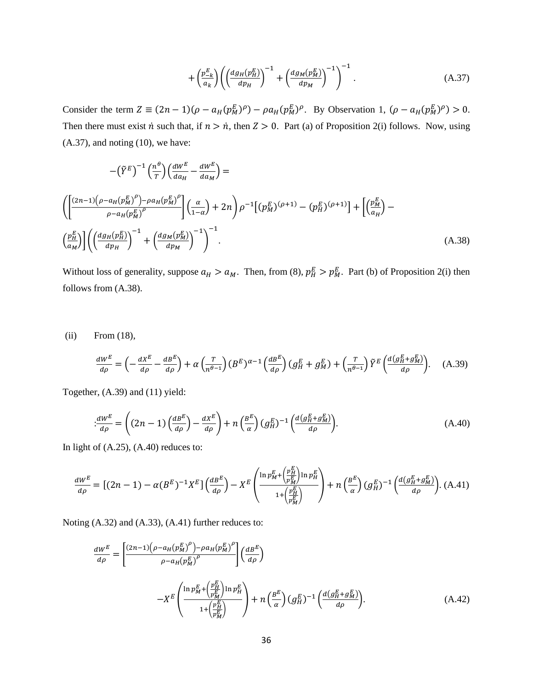$$
+\left(\frac{p_{-k}^{E}}{a_{k}}\right)\left(\left(\frac{dg_{H}(p_{H}^{E})}{dp_{H}}\right)^{-1}+\left(\frac{dg_{M}(p_{M}^{E})}{dp_{M}}\right)^{-1}\right)^{-1}.
$$
\n(A.37)

Consider the term  $Z \equiv (2n - 1)(\rho - a_H(p_M^E)^{\rho}) - \rho a_H(p_M^E)^{\rho}$ . By Observation 1,  $(\rho - a_H(p_M^E)^{\rho}) > 0$ . Then there must exist  $\dot{n}$  such that, if  $n > \dot{n}$ , then  $Z > 0$ . Part (a) of Proposition 2(i) follows. Now, using  $(A.37)$ , and noting  $(10)$ , we have:

$$
-(\tilde{Y}^{E})^{-1} \left(\frac{n^{\theta}}{T}\right) \left(\frac{dW^{E}}{da_{H}} - \frac{dW^{E}}{da_{M}}\right) =
$$
\n
$$
\left( \left[ \frac{(2n-1)\left(\rho - a_{H}(p_{M}^{E})^{\rho}\right) - \rho a_{H}(p_{M}^{E})^{\rho}}{\rho - a_{H}(p_{M}^{E})^{\rho}} \right] \left(\frac{\alpha}{1-\alpha}\right) + 2n \right) \rho^{-1} \left[ (p_{M}^{E})^{(\rho+1)} - (p_{H}^{E})^{(\rho+1)} \right] + \left[ \left(\frac{p_{M}^{E}}{a_{H}}\right) - \left(\frac{p_{H}^{E}}{a_{H}}\right) \right] \left( \left(\frac{dg_{H}(p_{H}^{E})}{dp_{H}}\right)^{-1} + \left(\frac{dg_{M}(p_{M}^{E})}{dp_{M}}\right)^{-1} \right). \tag{A.38}
$$

Without loss of generality, suppose  $a_H > a_M$ . Then, from (8),  $p_H^E > p_M^E$ . Part (b) of Proposition 2(i) then follows from (A.38).

(ii) From (18),

$$
\frac{dW^E}{d\rho} = \left(-\frac{dX^E}{d\rho} - \frac{dB^E}{d\rho}\right) + \alpha \left(\frac{T}{n^{\theta-1}}\right) (B^E)^{\alpha-1} \left(\frac{dB^E}{d\rho}\right) (g_H^E + g_M^E) + \left(\frac{T}{n^{\theta-1}}\right) \tilde{Y}^E \left(\frac{d(g_H^E + g_M^E)}{d\rho}\right). \tag{A.39}
$$

Together, (A.39) and (11) yield:

$$
\frac{dW^E}{d\rho} = \left( (2n-1) \left( \frac{dB^E}{d\rho} \right) - \frac{dX^E}{d\rho} \right) + n \left( \frac{B^E}{\alpha} \right) (g_H^E)^{-1} \left( \frac{d(g_H^E + g_H^E)}{d\rho} \right). \tag{A.40}
$$

In light of  $(A.25)$ ,  $(A.40)$  reduces to:

$$
\frac{dW^E}{d\rho} = \left[ (2n-1) - \alpha (B^E)^{-1} X^E \right] \left( \frac{dB^E}{d\rho} \right) - X^E \left( \frac{\ln p_M^E + \left( \frac{p_H^E}{p_M^E} \right) \ln p_H^E}{1 + \left( \frac{p_H^E}{p_M^E} \right)} \right) + n \left( \frac{B^E}{\alpha} \right) (g_H^E)^{-1} \left( \frac{d(g_H^E + g_M^E)}{d\rho} \right). \tag{A.41}
$$

Noting (A.32) and (A.33), (A.41) further reduces to:

$$
\frac{dW^{E}}{d\rho} = \left[ \frac{(2n-1)\left(\rho - a_{H}(p_{M}^{E})^{\rho}\right) - \rho a_{H}(p_{M}^{E})^{\rho}}{\rho - a_{H}(p_{M}^{E})^{\rho}} \right] \left(\frac{dB^{E}}{d\rho}\right)
$$
\n
$$
-X^{E} \left( \frac{\ln p_{M}^{E} + \left(\frac{p_{H}^{E}}{p_{M}^{E}}\right) \ln p_{H}^{E}}{1 + \left(\frac{p_{H}^{E}}{p_{M}^{E}}\right)} \right) + n \left(\frac{B^{E}}{\alpha}\right) \left(g_{H}^{E}\right)^{-1} \left(\frac{d\left(g_{H}^{E} + g_{M}^{E}\right)}{d\rho}\right). \tag{A.42}
$$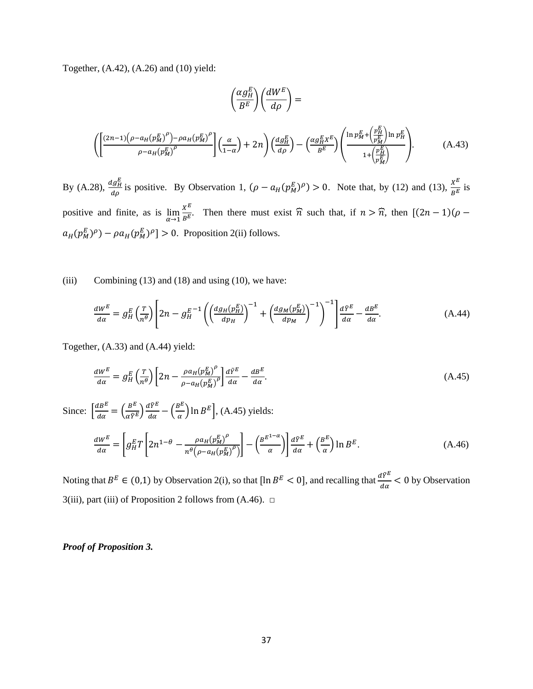Together, (A.42), (A.26) and (10) yield:

$$
\left(\frac{\alpha g_H^E}{B^E}\right) \left(\frac{dW^E}{d\rho}\right) =
$$
\n
$$
\left(\left[\frac{(2n-1)\left(\rho - a_H(p_M^E)^{\rho}\right) - \rho a_H(p_M^E)^{\rho}}{\rho - a_H(p_M^E)^{\rho}}\right] \left(\frac{\alpha}{1-\alpha}\right) + 2n\right) \left(\frac{dg_H^E}{d\rho}\right) - \left(\frac{\alpha g_H^E X^E}{B^E}\right) \left(\frac{\ln p_M^E + \left(\frac{p_H^E}{p_M^E}\right)\ln p_H^E}{1 + \left(\frac{p_H^E}{p_M^E}\right)}\right). \tag{A.43}
$$

By (A.28),  $\frac{dg_H^E}{dx}$  $\frac{d g_H^E}{d \rho}$  is positive. By Observation 1,  $(\rho - a_H(p_M^E))^{\rho} > 0$ . Note that, by (12) and (13),  $\frac{X^E}{B^E}$  $\frac{A}{B^E}$  is positive and finite, as is  $\lim_{\alpha \to 1} \frac{x^E}{B^E}$  $\frac{\lambda}{B^E}$ . Then there must exist  $\hat{n}$  such that, if  $n > \hat{n}$ , then  $[(2n-1)(\rho$  $a_H(p_M^E)^{\rho}$  –  $\rho a_H(p_M^E)^{\rho}$  > 0. Proposition 2(ii) follows.

#### (iii) Combining  $(13)$  and  $(18)$  and using  $(10)$ , we have:

$$
\frac{dW^{E}}{d\alpha} = g_{H}^{E} \left(\frac{T}{n^{\theta}}\right) \left[2n - g_{H}^{E-1} \left(\left(\frac{dg_{H}(p_{H}^{E})}{dp_{H}}\right)^{-1} + \left(\frac{dg_{M}(p_{M}^{E})}{dp_{M}}\right)^{-1}\right)\right] \frac{d\tilde{Y}^{E}}{d\alpha} - \frac{dB^{E}}{d\alpha}.
$$
\n(A.44)

Together, (A.33) and (A.44) yield:

$$
\frac{dW^E}{d\alpha} = g_H^E \left(\frac{T}{n^{\theta}}\right) \left[2n - \frac{\rho a_H (p_M^E)^{\rho}}{\rho - a_H (p_M^E)^{\rho}}\right] \frac{d\tilde{Y}^E}{d\alpha} - \frac{dB^E}{d\alpha}.
$$
\n(A.45)

Since: 
$$
\left[\frac{dB^E}{d\alpha} = \left(\frac{B^E}{\alpha \tilde{Y}^E}\right) \frac{d\tilde{Y}^E}{d\alpha} - \left(\frac{B^E}{\alpha}\right) \ln B^E\right]
$$
, (A.45) yields:  
\n
$$
\frac{dW^E}{d\alpha} = \left[g_H^E T \left[2n^{1-\theta} - \frac{\rho a_H (p_M^E)^{\rho}}{n^{\theta} (\rho - a_H (p_M^E)^{\rho})}\right] - \left(\frac{B^{E^{1-\alpha}}}{\alpha}\right)\right] \frac{d\tilde{Y}^E}{d\alpha} + \left(\frac{B^E}{\alpha}\right) \ln B^E.
$$
\n(A.46)

Noting that  $B^E \in (0,1)$  by Observation 2(i), so that  $[\ln B^E < 0]$ , and recalling that  $\frac{d\tilde{\gamma}^E}{d\alpha} < 0$  by Observation 3(iii), part (iii) of Proposition 2 follows from  $(A.46)$ .  $\square$ 

### *Proof of Proposition 3.*